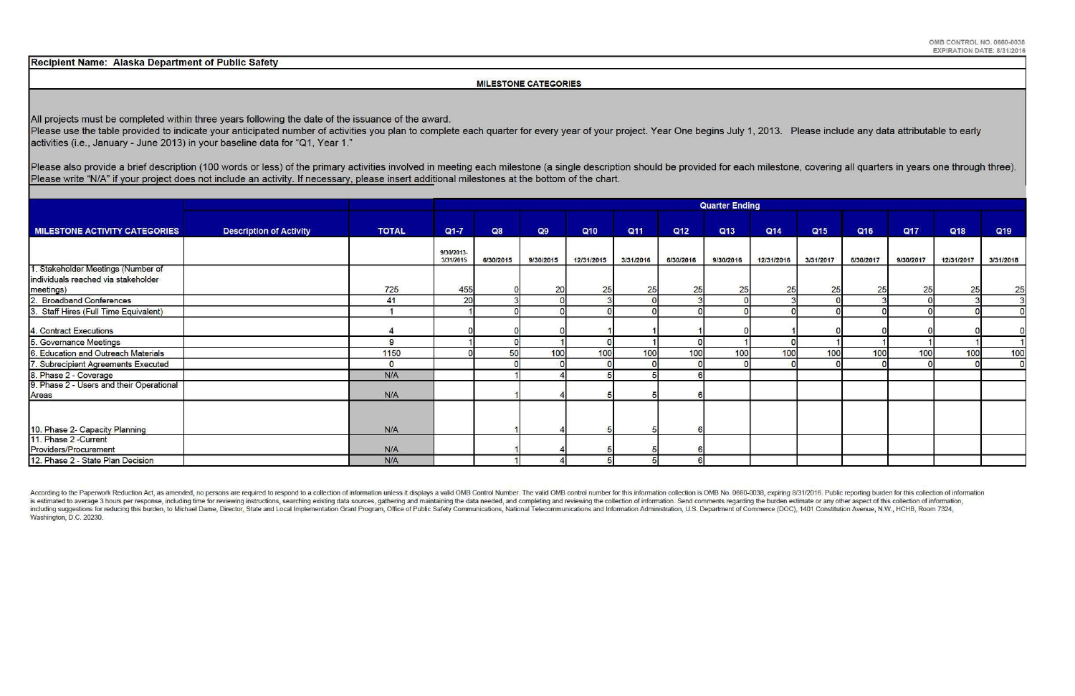Recipient Name: Alaska Department of Public Safety

### MILESTONE CATEGORIES

All projects must be completed within three years following the date of the issuance of the award.

Please use the table provided to indicate your anticipated number of activities you plan to complete each quarter for every year of your project. Year One begins July 1, 2013. Please include any data attributable to early activities (i.e., January- June 2013) in your baseline data for "Q1, Year 1."

Please also provide a brief description (100 words or less) of the primary activities involved in meeting each milestone (a single description should be provided for each milestone, covering all quarters in years one throu Please write "N/A" if your project does not include an activity. If necessary, please insert additional milestones at the bottom of the chart.

According to the Paperwork Reduction Act, as amended, no persons are required to respond to a collection of information unless it displays a valid OMB Control Number. The valid OMB control number for this information colle is estimated to average 3 hours per response, including time for reviewing instructions, searching existing data sources, gathering and maintaining the data needed, and completing and reviewing the collection of informatio including suggestions for reducing this burden, to Michael Dame, Director, State and Local Implementation Grant Program, Office of Public Safety Communications, National Telecommunications and Information Administration, U Washington, D.C. 20230.

|                                                                                        |                                |              | <b>Quarter Ending</b>   |           |           |            |           |                 |           |            |                 |           |           |            |                |
|----------------------------------------------------------------------------------------|--------------------------------|--------------|-------------------------|-----------|-----------|------------|-----------|-----------------|-----------|------------|-----------------|-----------|-----------|------------|----------------|
| MILESTONE ACTIVITY CATEGORIES                                                          | <b>Description of Activity</b> | <b>TOTAL</b> | $Q1 - 7$                | Q8        | Q9        | Q10        | Q11       | Q <sub>12</sub> | Q13       | Q14        | Q <sub>15</sub> | Q16       | Q17       | Q18        | Q19            |
|                                                                                        |                                |              | 9/30/2013-<br>3/31/2015 | 6/30/2015 | 9/30/2015 | 12/31/2015 | 3/31/2016 | 6/30/2016       | 9/30/2016 | 12/31/2016 | 3/31/2017       | 6/30/2017 | 9/30/2017 | 12/31/2017 | 3/31/2018      |
| 1. Stakeholder Meetings (Number of<br>individuals reached via stakeholder<br>meetings) |                                | 725          | 455                     |           | 20        | 25         | 25        | 25              | 25        | 25         | 25              | 25        | 25        | 25         | 25             |
| 2. Broadband Conferences                                                               |                                | 41           | 20                      |           |           |            |           |                 |           |            |                 |           |           |            | $\overline{3}$ |
| 3. Staff Hires (Full Time Equivalent)                                                  |                                |              |                         |           |           |            |           |                 |           |            |                 |           |           |            | $\overline{0}$ |
| 4. Contract Executions                                                                 |                                |              |                         |           |           |            |           |                 |           |            |                 |           |           |            |                |
| 5. Governance Meetings                                                                 |                                | 9            |                         |           |           |            |           |                 |           |            |                 |           |           |            |                |
| 6. Education and Outreach Materials                                                    |                                | 1150         |                         | 50        | 100       | 100        | 100       | 100             | 100       | 100        | 100             | 100       | 100       | 100        | 100            |
| 7. Subrecipient Agreements Executed                                                    |                                | $\Omega$     |                         |           |           |            |           |                 |           |            |                 |           |           |            | $\overline{0}$ |
| 8. Phase 2 - Coverage                                                                  |                                | N/A          |                         |           |           |            |           |                 |           |            |                 |           |           |            |                |
| 9. Phase 2 - Users and their Operational<br>Areas                                      |                                | N/A          |                         |           |           |            |           |                 |           |            |                 |           |           |            |                |
|                                                                                        |                                |              |                         |           |           |            |           |                 |           |            |                 |           |           |            |                |
| 10. Phase 2- Capacity Planning                                                         |                                | N/A          |                         |           |           |            |           |                 |           |            |                 |           |           |            |                |
| 11. Phase 2 - Current<br>Providers/Procurement                                         |                                | N/A          |                         |           |           |            |           |                 |           |            |                 |           |           |            |                |
| 12. Phase 2 - State Plan Decision                                                      |                                | N/A          |                         |           |           |            |           |                 |           |            |                 |           |           |            |                |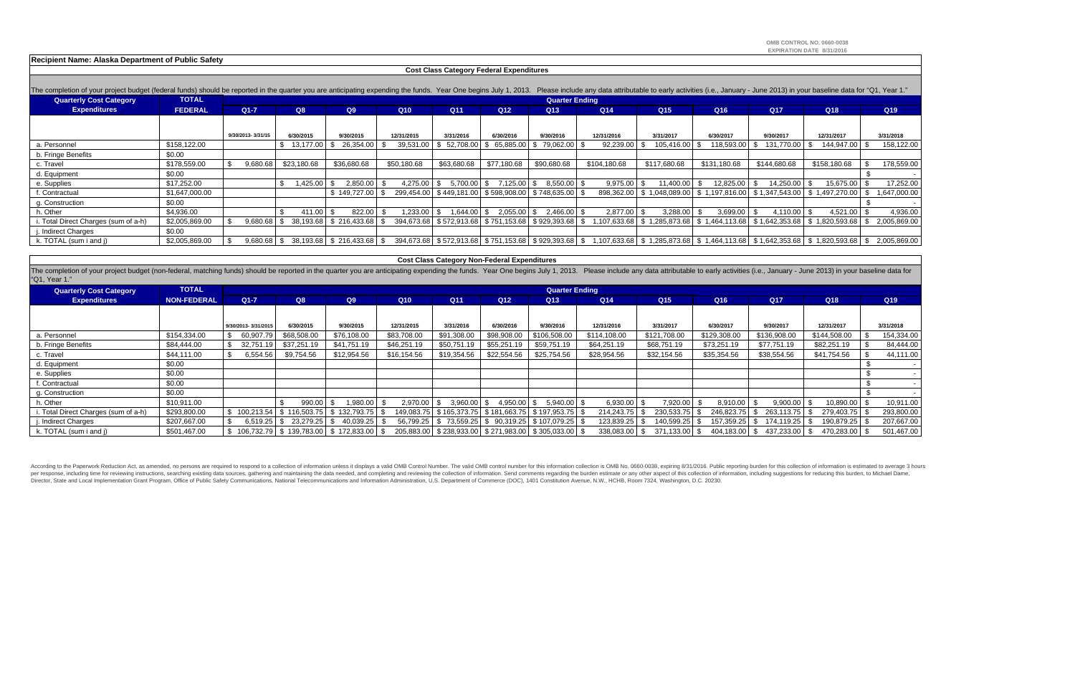| <b>Cost Class Category Federal Expenditures</b>                                                                                                                                                                                |                |                   |                   |                                                |                   |                                                              |                        |                       |                                                                                                                                                               |                 |                 |              |                                                                                                     |  |                 |
|--------------------------------------------------------------------------------------------------------------------------------------------------------------------------------------------------------------------------------|----------------|-------------------|-------------------|------------------------------------------------|-------------------|--------------------------------------------------------------|------------------------|-----------------------|---------------------------------------------------------------------------------------------------------------------------------------------------------------|-----------------|-----------------|--------------|-----------------------------------------------------------------------------------------------------|--|-----------------|
| The completion of your project budget (federal funds) should be reported in the quarter you are anticipating expending the funds. Year One begins July 1, 2013. Please include any data attributable to early activities (i.e. |                |                   |                   |                                                |                   |                                                              |                        |                       |                                                                                                                                                               |                 |                 |              |                                                                                                     |  |                 |
| Quarterly Cost Category                                                                                                                                                                                                        | <b>TOTAL</b>   |                   |                   |                                                |                   |                                                              |                        | <b>Quarter Ending</b> |                                                                                                                                                               |                 |                 |              |                                                                                                     |  |                 |
| <b>Expenditures</b>                                                                                                                                                                                                            | <b>FEDERAL</b> | $Q1-7$            | Q8                | Q9                                             | Q <sub>10</sub>   | Q <sub>11</sub>                                              | Q12                    | Q13                   | Q14                                                                                                                                                           | Q <sub>15</sub> | Q <sub>16</sub> | Q17          | Q18                                                                                                 |  | Q <sub>19</sub> |
|                                                                                                                                                                                                                                |                |                   |                   |                                                |                   |                                                              |                        |                       |                                                                                                                                                               |                 |                 |              |                                                                                                     |  |                 |
|                                                                                                                                                                                                                                |                | 9/30/2013-3/31/15 | 6/30/2015         | 9/30/2015                                      | 12/31/2015        | 3/31/2016                                                    | 6/30/2016              | 9/30/2016             | 12/31/2016                                                                                                                                                    | 3/31/2017       | 6/30/2017       | 9/30/2017    | 12/31/2017                                                                                          |  | 3/31/2018       |
| a. Personnel                                                                                                                                                                                                                   | \$158,122.00   |                   | $$13,177.00$ \ \$ | 26,354.00                                      | 39,531.00<br>- \$ |                                                              | 52,708.00 \$ 65,885.00 | 79,062.00 \$          | 92,239.00                                                                                                                                                     | 105,416.00 S    | $118,593.00$ \$ | 131,770.00   | 144,947.00                                                                                          |  | 158,122.00      |
| b. Fringe Benefits                                                                                                                                                                                                             | \$0.00         |                   |                   |                                                |                   |                                                              |                        |                       |                                                                                                                                                               |                 |                 |              |                                                                                                     |  |                 |
| c. Travel                                                                                                                                                                                                                      | \$178,559.00   | 9,680.68          | \$23,180.68       | \$36,680.68                                    | \$50,180.68       | \$63,680.68                                                  | \$77,180.68            | \$90,680.68           | \$104.180.68                                                                                                                                                  | \$117,680.68    | \$131.180.68    | \$144,680.68 | \$158,180.68                                                                                        |  | 178,559.00      |
| d. Equipment                                                                                                                                                                                                                   | \$0.00         |                   |                   |                                                |                   |                                                              |                        |                       |                                                                                                                                                               |                 |                 |              |                                                                                                     |  |                 |
| e. Supplies                                                                                                                                                                                                                    | \$17,252.00    |                   | 1,425.00 \$       | 2,850.00                                       | $4,275.00$ \$     | $5,700.00$ \$                                                | 7,125.00               | $8,550.00$ \$         | 9,975.00                                                                                                                                                      | 11,400.00       | 12,825.00       | 14,250.00    | $15,675.00$ \$                                                                                      |  | 17,252.00       |
| . Contractual                                                                                                                                                                                                                  | \$1,647,000.00 |                   |                   | \$149,727.00                                   |                   | 299,454.00   \$449,181.00   \$598,908.00   \$748,635.00   \$ |                        |                       |                                                                                                                                                               |                 |                 |              | 898,362.00   \$1,048,089.00   \$1,197,816.00   \$1,347,543.00   \$1,497,270.00                      |  | 1,647,000.00    |
| g. Construction                                                                                                                                                                                                                | \$0.00         |                   |                   |                                                |                   |                                                              |                        |                       |                                                                                                                                                               |                 |                 |              |                                                                                                     |  |                 |
| ւ. Other                                                                                                                                                                                                                       | \$4,936.00     |                   | 411.00            | 822.00                                         | ,233.00           | $.644.00$ \ \$                                               | 2,055.00               | $2,466.00$ \$         | 2,877.00                                                                                                                                                      | 3,288.00        | 3,699.00        | 4,110.00     | $4,521.00$ \$                                                                                       |  | 4,936.00        |
| . Total Direct Charges (sum of a-h)                                                                                                                                                                                            | \$2,005,869.00 |                   |                   | $9,680.68$ \ \$ 38,193.68 \ \$ 216,433.68 \    | - \$              | 394,673.68   \$572,913.68   \$751,153.68   \$929,393.68   \$ |                        |                       |                                                                                                                                                               |                 |                 |              | $1,107,633.68$   \$ $1,285,873.68$   \$ $1,464,113.68$   \$ $1,642,353.68$   \$ $1,820,593.68$   \$ |  | 2,005,869.00    |
| . Indirect Charges                                                                                                                                                                                                             | \$0.00         |                   |                   |                                                |                   |                                                              |                        |                       |                                                                                                                                                               |                 |                 |              |                                                                                                     |  |                 |
| k. TOTAL (sum i and j)                                                                                                                                                                                                         | \$2,005,869.00 |                   |                   | $9,680.68$ \ \$ 38,193.68 \ \$ 216,433.68 \ \$ |                   |                                                              |                        |                       | 394,673.68   \$572,913.68   \$751,153.68   \$929,393.68   \$1,107,633.68   \$1,285,873.68   \$1,464,113.68   \$1,642,353.68   \$1,820,593.68   \$2,005,869.00 |                 |                 |              |                                                                                                     |  |                 |

| <b>Cost Class Category Non-Federal Expenditures</b>                                                                                                                                                                                             |                    |                     |                                             |                                               |             |                 |                 |                                                              |                 |               |               |                  |                |            |
|-------------------------------------------------------------------------------------------------------------------------------------------------------------------------------------------------------------------------------------------------|--------------------|---------------------|---------------------------------------------|-----------------------------------------------|-------------|-----------------|-----------------|--------------------------------------------------------------|-----------------|---------------|---------------|------------------|----------------|------------|
| The completion of your project budget (non-federal, matching funds) should be reported in the quarter you are anticipating expending the funds. Year One begins July 1, 2013. Please include any data attributable to early ac<br>"Q1, Year 1." |                    |                     |                                             |                                               |             |                 |                 |                                                              |                 |               |               |                  |                |            |
| <b>Quarterly Cost Category</b>                                                                                                                                                                                                                  | <b>TOTAL</b>       |                     | <b>Quarter Ending</b>                       |                                               |             |                 |                 |                                                              |                 |               |               |                  |                |            |
| <b>Expenditures</b>                                                                                                                                                                                                                             | <b>NON-FEDERAL</b> | $Q1 - 7$            | Q8                                          | Q9                                            | Q10         | Q11             | Q <sub>12</sub> | Q13                                                          | Q <sub>14</sub> | Q15           | Q16           | Q17              | Q18            | Q19        |
|                                                                                                                                                                                                                                                 |                    |                     |                                             |                                               |             |                 |                 |                                                              |                 |               |               |                  |                |            |
|                                                                                                                                                                                                                                                 |                    | 9/30/2013-3/31/2015 | 6/30/2015                                   | 9/30/2015                                     | 12/31/2015  | 3/31/2016       | 6/30/2016       | 9/30/2016                                                    | 12/31/2016      | 3/31/2017     | 6/30/2017     | 9/30/2017        | 12/31/2017     | 3/31/2018  |
| a. Personnel                                                                                                                                                                                                                                    | \$154,334.00       | 60,907.79           | \$68,508.00                                 | \$76,108.00                                   | \$83,708.00 | \$91,308.00     | \$98,908.00     | \$106,508.00                                                 | \$114,108.00    | \$121,708.00  | \$129,308.00  | \$136,908.00     | \$144,508.00   | 154,334.00 |
| b. Fringe Benefits                                                                                                                                                                                                                              | \$84,444.00        | 32,751.19           | \$37,251.19                                 | \$41,751.19                                   | \$46,251.19 | \$50,751.19     | \$55,251.19     | \$59,751.19                                                  | \$64,251.19     | \$68,751.19   | \$73,251.19   | \$77,751.19      | \$82,251.19    | 84,444.00  |
| c. Travel                                                                                                                                                                                                                                       | \$44,111.00        | 6,554.56            | \$9,754.56                                  | \$12,954.56                                   | \$16,154.56 | \$19,354.56     | \$22,554.56     | \$25,754.56                                                  | \$28,954.56     | \$32,154.56   | \$35,354.56   | \$38,554.56      | \$41,754.56    | 44,111.00  |
| d. Equipment                                                                                                                                                                                                                                    | \$0.00             |                     |                                             |                                               |             |                 |                 |                                                              |                 |               |               |                  |                |            |
| e. Supplies                                                                                                                                                                                                                                     | \$0.00             |                     |                                             |                                               |             |                 |                 |                                                              |                 |               |               |                  |                |            |
| f. Contractual                                                                                                                                                                                                                                  | \$0.00             |                     |                                             |                                               |             |                 |                 |                                                              |                 |               |               |                  |                |            |
| g. Construction                                                                                                                                                                                                                                 | \$0.00             |                     |                                             |                                               |             |                 |                 |                                                              |                 |               |               |                  |                |            |
| h. Other                                                                                                                                                                                                                                        | \$10,911.00        |                     | $990.00$ \$                                 | 1,980.00                                      | 2,970.00    | 3,960.00<br>. ድ | $4,950.00$ \$   | $5,940.00$ \$                                                | $6,930.00$ \$   | 7,920.00 \$   | 8,910.00      | $9,900.00$ \$    | $10,890.00$ \$ | 10,911.00  |
| . Total Direct Charges (sum of a-h)                                                                                                                                                                                                             | \$293,800.00       | 100,213.54          | $\vert$ \$ 116,503.75 $\vert$ \$ 132,793.75 |                                               | 149.083.75  | \$165.373.75    |                 | \$181,663.75   \$197,953.75   \$                             | 214,243.75      | 230,533.75    | 246,823.75    | 263,113.75<br>.ზ | 279,403.75     | 293,800.00 |
| . Indirect Charges                                                                                                                                                                                                                              | \$207,667.00       | 6,519.25            | 23,279.25 \$<br>IS.                         | 40,039.25                                     | 56,799.25   | -\$             |                 | 73,559.25   \$ 90,319.25   \$ 107,079.25   \$                | 123,839.25      | 140,599.25    | 157,359.25    | 174,119.25       | 190,879.25     | 207,667.00 |
| k. TOTAL (sum i and j)                                                                                                                                                                                                                          | \$501,467.00       |                     |                                             | 106,732.79   \$139,783.00   \$172,833.00   \$ |             |                 |                 | 205,883.00   \$238,933.00   \$271,983.00   \$305,033.00   \$ | 338,083.00      | 371,133.00 \$ | 404,183.00 \$ | 437,233.00 \$    | 470,283.00     | 501,467.00 |

According to the Paperwork Reduction Act, as amended, no persons are required to respond to a collection of information unless it displays a valid OMB Control Number. The valid OMB control number for this information colle per response, including time for reviewing instructions, searching existing data sources, gathering and maintaining the data needed, and completing and reviewing the collection of information. Send comments regarding the b Director, State and Local Implementation Grant Program, Office of Public Safety Communications, National Telecommunications and Information Administration, U.S. Department of Commerce (DOC), 1401 Constitution Avenue, N.W.,

#### **Recipient Name: Alaska Department of Public Safety**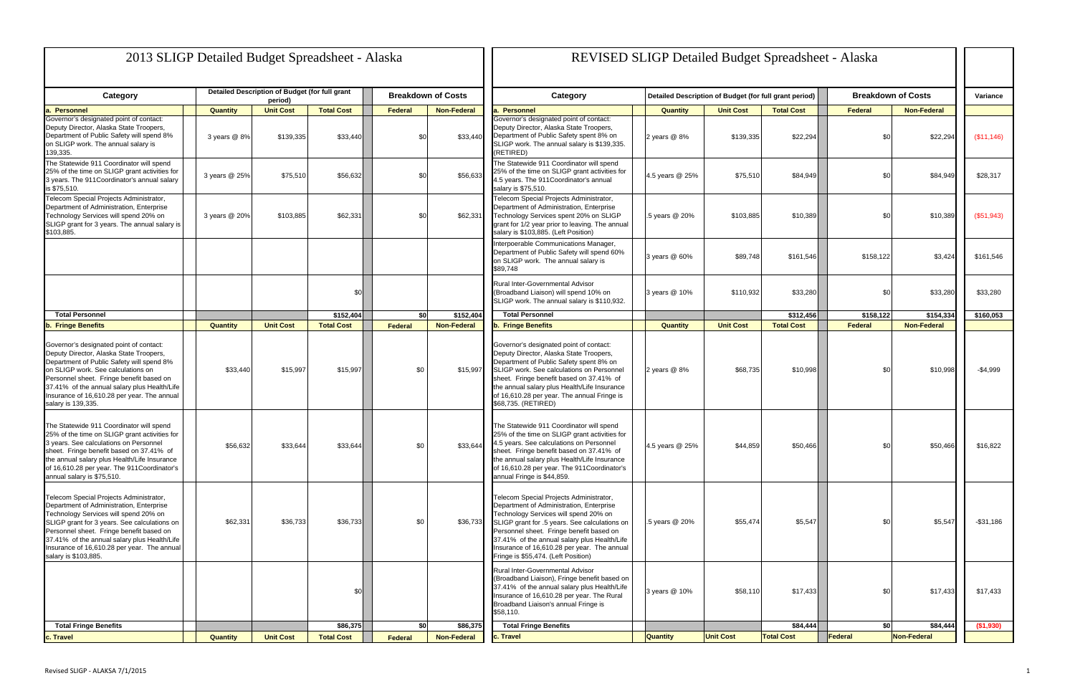| 2013 SLIGP Detailed Budget Spreadsheet - Alaska                                                                                                                                                                                                                                                                                                 |                 |                                                |                   |                 |                           | <b>REVISED SLIGP Detailed Budget Spreadsheet - Alaska</b>                                                                                                                                                                                                                                                                                                       |  |                 |                  |                                                        |           |                           |             |
|-------------------------------------------------------------------------------------------------------------------------------------------------------------------------------------------------------------------------------------------------------------------------------------------------------------------------------------------------|-----------------|------------------------------------------------|-------------------|-----------------|---------------------------|-----------------------------------------------------------------------------------------------------------------------------------------------------------------------------------------------------------------------------------------------------------------------------------------------------------------------------------------------------------------|--|-----------------|------------------|--------------------------------------------------------|-----------|---------------------------|-------------|
| Category                                                                                                                                                                                                                                                                                                                                        |                 | Detailed Description of Budget (for full grant |                   |                 | <b>Breakdown of Costs</b> | Category                                                                                                                                                                                                                                                                                                                                                        |  |                 |                  | Detailed Description of Budget (for full grant period) |           | <b>Breakdown of Costs</b> | Variance    |
| a. Personnel                                                                                                                                                                                                                                                                                                                                    | <b>Quantity</b> | period)<br><b>Unit Cost</b>                    | <b>Total Cost</b> | <b>Federal</b>  | <b>Non-Federal</b>        | <b>Personnel</b>                                                                                                                                                                                                                                                                                                                                                |  | <b>Quantity</b> | <b>Unit Cost</b> | <b>Total Cost</b>                                      | Federal   | <b>Non-Federal</b>        |             |
| Governor's designated point of contact:<br>Deputy Director, Alaska State Troopers,<br>Department of Public Safety will spend 8%<br>on SLIGP work. The annual salary is<br>139,335.                                                                                                                                                              | 3 years @ 8%    | \$139,335                                      | \$33,440          | \$ <sub>6</sub> | \$33,440                  | Governor's designated point of contact:<br>Deputy Director, Alaska State Troopers,<br>Department of Public Safety spent 8% on<br>SLIGP work. The annual salary is \$139,335.<br>(RETIRED)                                                                                                                                                                       |  | 2 vears $@$ 8%  | \$139,335        | \$22,294                                               | \$0       | \$22,294                  | (\$11,146)  |
| The Statewide 911 Coordinator will spend<br>25% of the time on SLIGP grant activities for<br>3 years. The 911 Coordinator's annual salary<br>is \$75,510.                                                                                                                                                                                       | 3 years @ 25%   | \$75,510                                       | \$56,632          | \$0             | \$56,633                  | The Statewide 911 Coordinator will spend<br>25% of the time on SLIGP grant activities for<br>4.5 years. The 911 Coordinator's annual<br>salary is \$75,510.                                                                                                                                                                                                     |  | 4.5 years @ 25% | \$75,510         | \$84,949                                               | \$0       | \$84,949                  | \$28,317    |
| Telecom Special Projects Administrator,<br>Department of Administration, Enterprise<br>Technology Services will spend 20% on<br>SLIGP grant for 3 years. The annual salary is<br>\$103,885.                                                                                                                                                     | 3 years @ 20%   | \$103,885                                      | \$62,331          | \$ <sub>6</sub> | \$62,331                  | Telecom Special Projects Administrator,<br>Department of Administration, Enterprise<br>Technology Services spent 20% on SLIGP<br>grant for 1/2 year prior to leaving. The annual<br>salary is \$103,885. (Left Position)                                                                                                                                        |  | .5 years @ 20%  | \$103,885        | \$10,389                                               | \$0       | \$10,389                  | (\$51,943)  |
|                                                                                                                                                                                                                                                                                                                                                 |                 |                                                |                   |                 |                           | Interpoerable Communications Manager,<br>Department of Public Safety will spend 60%<br>on SLIGP work. The annual salary is<br>\$89.748                                                                                                                                                                                                                          |  | 3 years @ 60%   | \$89,748         | \$161,546                                              | \$158,122 | \$3,424                   | \$161,546   |
|                                                                                                                                                                                                                                                                                                                                                 |                 |                                                | \$0               |                 |                           | Rural Inter-Governmental Advisor<br>(Broadband Liaison) will spend 10% on<br>SLIGP work. The annual salary is \$110,932.                                                                                                                                                                                                                                        |  | 3 years @ 10%   | \$110,932        | \$33,280                                               | \$0       | \$33,280                  | \$33,280    |
| <b>Total Personnel</b>                                                                                                                                                                                                                                                                                                                          |                 |                                                | \$152,404         | sol             | \$152,404                 | <b>Total Personnel</b>                                                                                                                                                                                                                                                                                                                                          |  |                 |                  | \$312,456                                              | \$158,122 | \$154,334                 | \$160,053   |
| <b>b. Fringe Benefits</b>                                                                                                                                                                                                                                                                                                                       | <b>Quantity</b> | <b>Unit Cost</b>                               | <b>Total Cost</b> | Federal         | <b>Non-Federal</b>        | <b>b. Fringe Benefits</b>                                                                                                                                                                                                                                                                                                                                       |  | <b>Quantity</b> | <b>Unit Cost</b> | <b>Total Cost</b>                                      | Federal   | <b>Non-Federal</b>        |             |
| Governor's designated point of contact:<br>Deputy Director, Alaska State Troopers,<br>Department of Public Safety will spend 8%<br>on SLIGP work. See calculations on<br>Personnel sheet. Fringe benefit based on<br>37.41% of the annual salary plus Health/Life<br>Insurance of 16,610.28 per year. The annual<br>salary is 139,335.          |                 | \$33,440<br>\$15,997                           | \$15,997          | \$0             | \$15,997                  | Governor's designated point of contact:<br>Deputy Director, Alaska State Troopers,<br>Department of Public Safety spent 8% on<br>SLIGP work. See calculations on Personnel<br>sheet. Fringe benefit based on 37.41% of<br>the annual salary plus Health/Life Insurance<br>of 16,610.28 per year. The annual Fringe is<br>\$68,735. (RETIRED)                    |  | 2 years @ 8%    | \$68,735         | \$10,998                                               | \$0       | \$10,998                  | $-$4,999$   |
| The Statewide 911 Coordinator will spend<br>25% of the time on SLIGP grant activities for<br>3 years. See calculations on Personnel<br>sheet. Fringe benefit based on 37.41% of<br>the annual salary plus Health/Life Insurance<br>of 16,610.28 per year. The 911Coordinator's<br>annual salary is \$75,510.                                    |                 | \$56,632<br>\$33,644                           | \$33,644          | \$0             | \$33,644                  | The Statewide 911 Coordinator will spend<br>25% of the time on SLIGP grant activities for<br>4.5 years. See calculations on Personnel<br>sheet. Fringe benefit based on 37.41% of<br>the annual salary plus Health/Life Insurance<br>of 16,610.28 per year. The 911Coordinator's<br>annual Fringe is \$44,859.                                                  |  | 4.5 years @ 25% | \$44,859         | \$50,466                                               |           | \$50,466                  | \$16,822    |
| Telecom Special Projects Administrator,<br>Department of Administration, Enterprise<br>Technology Services will spend 20% on<br>SLIGP grant for 3 years. See calculations on<br>Personnel sheet. Fringe benefit based on<br>37.41% of the annual salary plus Health/Life<br>Insurance of 16,610.28 per year. The annual<br>salary is \$103,885. |                 | \$62,331<br>\$36,733                           | \$36,733          | \$0             | \$36,733                  | Telecom Special Projects Administrator,<br>Department of Administration, Enterprise<br>Technology Services will spend 20% on<br>SLIGP grant for .5 years. See calculations on<br>Personnel sheet. Fringe benefit based on<br>37.41% of the annual salary plus Health/Life<br>Insurance of 16,610.28 per year. The annual<br>Fringe is \$55,474. (Left Position) |  | .5 years @ 20%  | \$55,474         | \$5,547                                                | \$0       | \$5,547                   | -\$31,186   |
|                                                                                                                                                                                                                                                                                                                                                 |                 |                                                | \$0               |                 |                           | Rural Inter-Governmental Advisor<br>(Broadband Liaison), Fringe benefit based on<br>37.41% of the annual salary plus Health/Life<br>Insurance of 16,610.28 per year. The Rural<br>Broadband Liaison's annual Fringe is<br>\$58,110.                                                                                                                             |  | 3 years @ 10%   | \$58,110         | \$17,433                                               | \$0       | \$17,433                  | \$17,433    |
| <b>Total Fringe Benefits</b>                                                                                                                                                                                                                                                                                                                    |                 |                                                | \$86,375          | \$0             | \$86,375                  | <b>Total Fringe Benefits</b>                                                                                                                                                                                                                                                                                                                                    |  |                 |                  | \$84,444                                               | \$0       | \$84,444                  | ( \$1, 930) |
| c. Travel                                                                                                                                                                                                                                                                                                                                       | <b>Quantity</b> | <b>Unit Cost</b>                               | <b>Total Cost</b> | Federal         | <b>Non-Federal</b>        | c. Travel                                                                                                                                                                                                                                                                                                                                                       |  | <b>Quantity</b> | <b>Unit Cost</b> | <b>Total Cost</b>                                      | Federal   | <b>Non-Federal</b>        |             |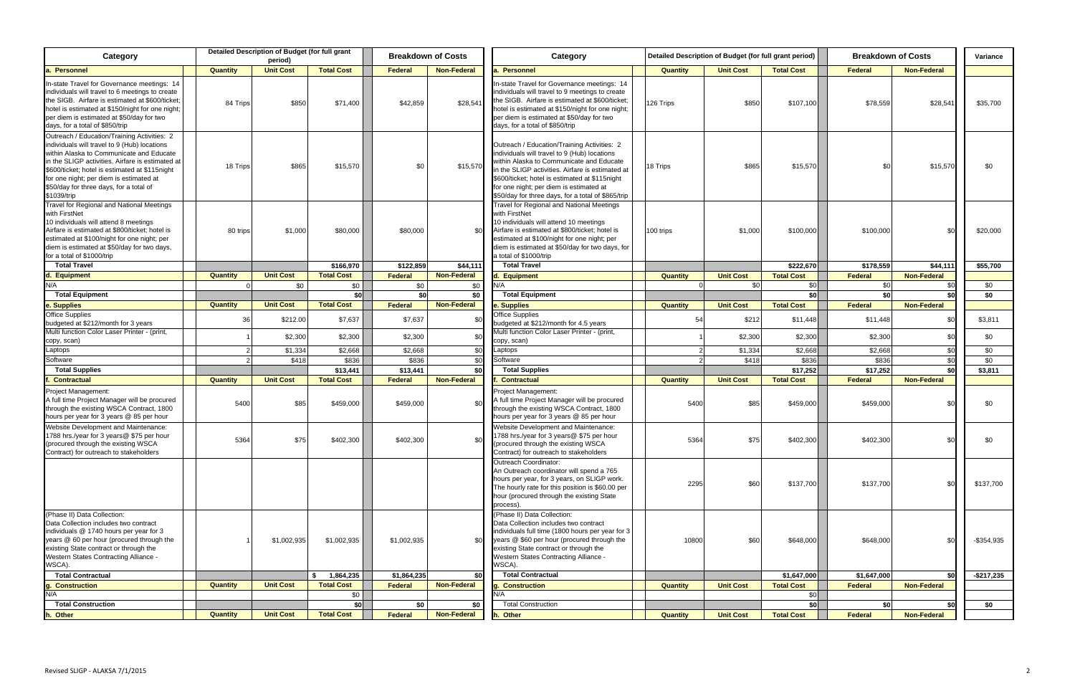| <b>Unit Cost</b><br><b>Total Cost</b><br><b>Federal</b><br><b>Non-Federal</b><br>Quantity<br><b>Unit Cost</b><br><b>Federal</b><br>Quantity<br>Personnel<br><b>Total Cost</b><br>Non-Federal<br>In-state Travel for Governance meetings: 14<br>individuals will travel to 9 meetings to create<br>the SIGB. Airfare is estimated at \$600/ticket:<br>\$42,859<br>\$28,541<br>\$850<br>\$28,541<br>84 Trips<br>\$850<br>\$71,400<br>126 Trips<br>\$107,100<br>\$78,559<br>\$35,700<br>hotel is estimated at \$150/night for one night;<br>per diem is estimated at \$50/day for two<br>days, for a total of \$850/trip<br>Outreach / Education/Training Activities: 2<br>within Alaska to Communicate and Educate<br>individuals will travel to 9 (Hub) locations<br>in the SLIGP activities. Airfare is estimated at<br>within Alaska to Communicate and Educate<br>\$865<br>\$0<br>\$865<br>\$15,570<br>\$0<br>18 Trips<br>\$15,570<br>\$15,570<br>18 Trips<br>\$15,570<br>\$C<br>in the SLIGP activities. Airfare is estimated at<br>\$600/ticket; hotel is estimated at \$115 night<br>for one night; per diem is estimated at<br>\$50/day for three days, for a total of \$865/trip<br><b>Travel for Regional and National Meetings</b><br>with FirstNet<br>10 individuals will attend 10 meetings<br>Airfare is estimated at \$800/ticket; hotel is<br>\$80,000<br>\$80,000<br>80 trips<br>\$1,000<br>\$1,000<br>\$100,000<br>\$100,000<br>\$0<br>\$20,000<br>\$C<br>100 trips<br>estimated at \$100/night for one night; per<br>estimated at \$100/night for one night; per<br>diem is estimated at \$50/day for two days, for<br>a total of \$1000/trip<br>\$122,859<br><b>Total Travel</b><br><b>Total Travel</b><br>\$222,670<br>\$178,559<br>\$166,970<br>\$44,111<br>\$44,111<br>\$55,700<br><b>Total Cost</b><br><b>Non-Federal</b><br>Quantity<br><b>Unit Cost</b><br>Federal<br><b>Unit Cost</b><br><b>Total Cost</b><br><b>Federal</b><br><b>Non-Federal</b><br>d. Equipment<br>. Equipment<br><b>Quantity</b><br>N/A<br>N/A<br>\$0<br>\$0<br>\$0<br>\$0<br>\$0<br>\$0<br>\$0<br>\$0 <sub>1</sub><br>\$C<br>\$0<br>\$0<br>\$0<br>\$0<br>\$0<br><b>Total Equipment</b><br>-sol<br><b>Total Equipment</b><br>\$0<br><b>Total Cost</b><br><b>Non-Federal</b><br><b>Quantity</b><br><b>Unit Cost</b><br>Federal<br><b>Unit Cost</b><br><b>Total Cost</b><br>Federal<br>e. Supplies<br><b>Non-Federal</b><br>. Supplies<br>Quantity<br><b>Office Supplies</b><br>36<br>\$7,637<br>\$7,637<br>54<br>\$212<br>\$11,448<br>\$11,448<br>\$0<br>\$3,811<br>\$212.00<br>\$C<br>budgeted at \$212/month for 3 years<br>budgeted at \$212/month for 4.5 years<br>Multi function Color Laser Printer - (print,<br>\$2,300<br>\$2,300<br>\$2,300<br>\$2,300<br>\$0<br>\$2,300<br>\$2,300<br>\$C<br>copy, scan)<br>copy, scan)<br>Laptops<br>_aptops<br>\$2,668<br>\$0<br>\$0<br>\$1,334<br>\$2,668<br>\$2,668<br>\$C<br>\$1,334<br>\$2,668<br>\$0<br>Software<br>\$836<br>\$836<br>\$0<br>Software<br>\$836<br>\$0<br>\$418<br>\$418<br>\$836<br>\$17,252<br><b>Total Supplies</b><br>\$0<br><b>Total Supplies</b><br>\$0<br>\$13,441<br>\$13,441<br>\$17,252<br>\$3,811<br><b>Non-Federal</b><br>Quantity<br><b>Unit Cost</b><br><b>Total Cost</b><br>Federal<br><b>Unit Cost</b><br>Federal<br><b>Non-Federal</b><br><b>Contractual</b><br><b>Contractual</b><br><b>Quantity</b><br><b>Total Cost</b><br><b>Project Management:</b><br>A full time Project Manager will be procured<br>5400<br>5400<br>\$85<br>\$85<br>\$459,000<br>\$459,000<br>\$C<br>\$459,000<br>\$459,000<br>\$0<br>\$0<br>through the existing WSCA Contract, 1800<br>hours per year for 3 years @ 85 per hour<br>Website Development and Maintenance:<br>Website Development and Maintenance:<br>1788 hrs./year for 3 years@ \$75 per hour<br>\$0<br>5364<br>\$75<br>\$402,300<br>\$402,300<br>5364<br>\$75<br>\$402,300<br>\$402,300<br>\$0<br>\$0<br>(procured through the existing WSCA<br>Contract) for outreach to stakeholders<br>Outreach Coordinator:<br>An Outreach coordinator will spend a 765<br>hours per year, for 3 years, on SLIGP work.<br>2295<br>\$60<br>\$137,700<br>\$137,700<br>\$0<br>The hourly rate for this position is \$60.00 per<br>hour (procured through the existing State<br>process).<br>(Phase II) Data Collection:<br>Data Collection includes two contract<br>individuals full time (1800 hours per year for 3<br>years @ \$60 per hour (procured through the<br>\$1,002,935<br>\$1,002,935<br>\$60<br>\$0<br>\$1,002,935<br>\$0<br>10800<br>\$648,000<br>\$648,000<br>existing State contract or through the<br>Western States Contracting Alliance -<br>WSCA).<br>WSCA).<br><b>Total Contractual</b><br>1,864,235<br>\$1,864,235<br>\$0<br>\$1,647,000<br>\$1,647,000<br>\$0<br><b>Total Contractual</b><br>s.<br><b>Non-Federal</b><br><b>Quantity</b><br><b>Unit Cost</b><br><b>Total Cost</b><br>Federal<br><b>Unit Cost</b><br><b>Total Cost</b><br>Federal<br><b>Non-Federal</b><br><b>Construction</b><br><b>Quantity</b><br>Construction<br>N/A<br>\$0 <sub>1</sub><br>N/A<br>\$0<br>\$0<br>\$0<br>\$0<br>\$0<br><b>Total Construction</b><br>\$0<br>\$0<br><b>Total Construction</b><br>\$0<br><b>Non-Federal</b><br><b>Unit Cost</b><br><b>Total Cost</b><br>Federal<br><b>Quantity</b><br><b>Unit Cost</b><br><b>Total Cost</b><br>Federal<br><b>Non-Federal</b><br>h. Other<br>. Other<br><b>Quantity</b> | Category                                                                                                                                                                                                                                                                              |  | Detailed Description of Budget (for full grant<br>period) |  | <b>Breakdown of Costs</b> | Category | Detailed Description of Budget (for full grant period) |  | <b>Breakdown of Costs</b> | Variance |
|--------------------------------------------------------------------------------------------------------------------------------------------------------------------------------------------------------------------------------------------------------------------------------------------------------------------------------------------------------------------------------------------------------------------------------------------------------------------------------------------------------------------------------------------------------------------------------------------------------------------------------------------------------------------------------------------------------------------------------------------------------------------------------------------------------------------------------------------------------------------------------------------------------------------------------------------------------------------------------------------------------------------------------------------------------------------------------------------------------------------------------------------------------------------------------------------------------------------------------------------------------------------------------------------------------------------------------------------------------------------------------------------------------------------------------------------------------------------------------------------------------------------------------------------------------------------------------------------------------------------------------------------------------------------------------------------------------------------------------------------------------------------------------------------------------------------------------------------------------------------------------------------------------------------------------------------------------------------------------------------------------------------------------------------------------------------------------------------------------------------------------------------------------------------------------------------------------------------------------------------------------------------------------------------------------------------------------------------------------------------------------------------------------------------------------------------------------------------------------------------------------------------------------------------------------------------------------------------------------------------------------------------------------------------------------------------------------------------------------------------------------------------------------------------------------------------------------------------------------------------------------------------------------------------------------------------------------------------------------------------------------------------------------------------------------------------------------------------------------------------------------------------------------------------------------------------------------------------------------------------------------------------------------------------------------------------------------------------------------------------------------------------------------------------------------------------------------------------------------------------------------------------------------------------------------------------------------------------------------------------------------------------------------------------------------------------------------------------------------------------------------------------------------------------------------------------------------------------------------------------------------------------------------------------------------------------------------------------------------------------------------------------------------------------------------------------------------------------------------------------------------------------------------------------------------------------------------------------------------------------------------------------------------------------------------------------------------------------------------------------------------------------------------------------------------------------------------------------------------------------------------------------------------------------------------------------------------------------------------------------------------------------------------------------------------------------------------------------------------------------------------------------------------------------------------------------------------------------------------------------------------------------------------------------------------------------------------------------------------------------------------------------------------------------------------------------------------------------------------------------------------------------------------------------------------------------------------------------------------------------------------------------------------------------------------------------------------------------------------------------------------------------------------------------------------------|---------------------------------------------------------------------------------------------------------------------------------------------------------------------------------------------------------------------------------------------------------------------------------------|--|-----------------------------------------------------------|--|---------------------------|----------|--------------------------------------------------------|--|---------------------------|----------|
|                                                                                                                                                                                                                                                                                                                                                                                                                                                                                                                                                                                                                                                                                                                                                                                                                                                                                                                                                                                                                                                                                                                                                                                                                                                                                                                                                                                                                                                                                                                                                                                                                                                                                                                                                                                                                                                                                                                                                                                                                                                                                                                                                                                                                                                                                                                                                                                                                                                                                                                                                                                                                                                                                                                                                                                                                                                                                                                                                                                                                                                                                                                                                                                                                                                                                                                                                                                                                                                                                                                                                                                                                                                                                                                                                                                                                                                                                                                                                                                                                                                                                                                                                                                                                                                                                                                                                                                                                                                                                                                                                                                                                                                                                                                                                                                                                                                                                                                                                                                                                                                                                                                                                                                                                                                                                                                                                                                                                                      | a. Personnel                                                                                                                                                                                                                                                                          |  |                                                           |  |                           |          |                                                        |  |                           |          |
| \$137,700                                                                                                                                                                                                                                                                                                                                                                                                                                                                                                                                                                                                                                                                                                                                                                                                                                                                                                                                                                                                                                                                                                                                                                                                                                                                                                                                                                                                                                                                                                                                                                                                                                                                                                                                                                                                                                                                                                                                                                                                                                                                                                                                                                                                                                                                                                                                                                                                                                                                                                                                                                                                                                                                                                                                                                                                                                                                                                                                                                                                                                                                                                                                                                                                                                                                                                                                                                                                                                                                                                                                                                                                                                                                                                                                                                                                                                                                                                                                                                                                                                                                                                                                                                                                                                                                                                                                                                                                                                                                                                                                                                                                                                                                                                                                                                                                                                                                                                                                                                                                                                                                                                                                                                                                                                                                                                                                                                                                                            | In-state Travel for Governance meetings: 14<br>individuals will travel to 6 meetings to create<br>the SIGB. Airfare is estimated at \$600/ticket;<br>hotel is estimated at \$150/night for one night;<br>per diem is estimated at \$50/day for two<br>days, for a total of \$850/trip |  |                                                           |  |                           |          |                                                        |  |                           |          |
| $-$ \$354,935                                                                                                                                                                                                                                                                                                                                                                                                                                                                                                                                                                                                                                                                                                                                                                                                                                                                                                                                                                                                                                                                                                                                                                                                                                                                                                                                                                                                                                                                                                                                                                                                                                                                                                                                                                                                                                                                                                                                                                                                                                                                                                                                                                                                                                                                                                                                                                                                                                                                                                                                                                                                                                                                                                                                                                                                                                                                                                                                                                                                                                                                                                                                                                                                                                                                                                                                                                                                                                                                                                                                                                                                                                                                                                                                                                                                                                                                                                                                                                                                                                                                                                                                                                                                                                                                                                                                                                                                                                                                                                                                                                                                                                                                                                                                                                                                                                                                                                                                                                                                                                                                                                                                                                                                                                                                                                                                                                                                                        | Outreach / Education/Training Activities: 2<br>individuals will travel to 9 (Hub) locations<br>\$600/ticket; hotel is estimated at \$115night<br>for one night; per diem is estimated at<br>\$50/day for three days, for a total of<br>\$1039/trip                                    |  |                                                           |  |                           |          |                                                        |  |                           |          |
|                                                                                                                                                                                                                                                                                                                                                                                                                                                                                                                                                                                                                                                                                                                                                                                                                                                                                                                                                                                                                                                                                                                                                                                                                                                                                                                                                                                                                                                                                                                                                                                                                                                                                                                                                                                                                                                                                                                                                                                                                                                                                                                                                                                                                                                                                                                                                                                                                                                                                                                                                                                                                                                                                                                                                                                                                                                                                                                                                                                                                                                                                                                                                                                                                                                                                                                                                                                                                                                                                                                                                                                                                                                                                                                                                                                                                                                                                                                                                                                                                                                                                                                                                                                                                                                                                                                                                                                                                                                                                                                                                                                                                                                                                                                                                                                                                                                                                                                                                                                                                                                                                                                                                                                                                                                                                                                                                                                                                                      | Travel for Regional and National Meetings<br>with FirstNet<br>10 individuals will attend 8 meetings<br>Airfare is estimated at \$800/ticket; hotel is<br>diem is estimated at \$50/day for two days,<br>for a total of \$1000/trip                                                    |  |                                                           |  |                           |          |                                                        |  |                           |          |
|                                                                                                                                                                                                                                                                                                                                                                                                                                                                                                                                                                                                                                                                                                                                                                                                                                                                                                                                                                                                                                                                                                                                                                                                                                                                                                                                                                                                                                                                                                                                                                                                                                                                                                                                                                                                                                                                                                                                                                                                                                                                                                                                                                                                                                                                                                                                                                                                                                                                                                                                                                                                                                                                                                                                                                                                                                                                                                                                                                                                                                                                                                                                                                                                                                                                                                                                                                                                                                                                                                                                                                                                                                                                                                                                                                                                                                                                                                                                                                                                                                                                                                                                                                                                                                                                                                                                                                                                                                                                                                                                                                                                                                                                                                                                                                                                                                                                                                                                                                                                                                                                                                                                                                                                                                                                                                                                                                                                                                      |                                                                                                                                                                                                                                                                                       |  |                                                           |  |                           |          |                                                        |  |                           |          |
|                                                                                                                                                                                                                                                                                                                                                                                                                                                                                                                                                                                                                                                                                                                                                                                                                                                                                                                                                                                                                                                                                                                                                                                                                                                                                                                                                                                                                                                                                                                                                                                                                                                                                                                                                                                                                                                                                                                                                                                                                                                                                                                                                                                                                                                                                                                                                                                                                                                                                                                                                                                                                                                                                                                                                                                                                                                                                                                                                                                                                                                                                                                                                                                                                                                                                                                                                                                                                                                                                                                                                                                                                                                                                                                                                                                                                                                                                                                                                                                                                                                                                                                                                                                                                                                                                                                                                                                                                                                                                                                                                                                                                                                                                                                                                                                                                                                                                                                                                                                                                                                                                                                                                                                                                                                                                                                                                                                                                                      |                                                                                                                                                                                                                                                                                       |  |                                                           |  |                           |          |                                                        |  |                           |          |
|                                                                                                                                                                                                                                                                                                                                                                                                                                                                                                                                                                                                                                                                                                                                                                                                                                                                                                                                                                                                                                                                                                                                                                                                                                                                                                                                                                                                                                                                                                                                                                                                                                                                                                                                                                                                                                                                                                                                                                                                                                                                                                                                                                                                                                                                                                                                                                                                                                                                                                                                                                                                                                                                                                                                                                                                                                                                                                                                                                                                                                                                                                                                                                                                                                                                                                                                                                                                                                                                                                                                                                                                                                                                                                                                                                                                                                                                                                                                                                                                                                                                                                                                                                                                                                                                                                                                                                                                                                                                                                                                                                                                                                                                                                                                                                                                                                                                                                                                                                                                                                                                                                                                                                                                                                                                                                                                                                                                                                      |                                                                                                                                                                                                                                                                                       |  |                                                           |  |                           |          |                                                        |  |                           |          |
|                                                                                                                                                                                                                                                                                                                                                                                                                                                                                                                                                                                                                                                                                                                                                                                                                                                                                                                                                                                                                                                                                                                                                                                                                                                                                                                                                                                                                                                                                                                                                                                                                                                                                                                                                                                                                                                                                                                                                                                                                                                                                                                                                                                                                                                                                                                                                                                                                                                                                                                                                                                                                                                                                                                                                                                                                                                                                                                                                                                                                                                                                                                                                                                                                                                                                                                                                                                                                                                                                                                                                                                                                                                                                                                                                                                                                                                                                                                                                                                                                                                                                                                                                                                                                                                                                                                                                                                                                                                                                                                                                                                                                                                                                                                                                                                                                                                                                                                                                                                                                                                                                                                                                                                                                                                                                                                                                                                                                                      |                                                                                                                                                                                                                                                                                       |  |                                                           |  |                           |          |                                                        |  |                           |          |
|                                                                                                                                                                                                                                                                                                                                                                                                                                                                                                                                                                                                                                                                                                                                                                                                                                                                                                                                                                                                                                                                                                                                                                                                                                                                                                                                                                                                                                                                                                                                                                                                                                                                                                                                                                                                                                                                                                                                                                                                                                                                                                                                                                                                                                                                                                                                                                                                                                                                                                                                                                                                                                                                                                                                                                                                                                                                                                                                                                                                                                                                                                                                                                                                                                                                                                                                                                                                                                                                                                                                                                                                                                                                                                                                                                                                                                                                                                                                                                                                                                                                                                                                                                                                                                                                                                                                                                                                                                                                                                                                                                                                                                                                                                                                                                                                                                                                                                                                                                                                                                                                                                                                                                                                                                                                                                                                                                                                                                      | Office Supplies                                                                                                                                                                                                                                                                       |  |                                                           |  |                           |          |                                                        |  |                           |          |
|                                                                                                                                                                                                                                                                                                                                                                                                                                                                                                                                                                                                                                                                                                                                                                                                                                                                                                                                                                                                                                                                                                                                                                                                                                                                                                                                                                                                                                                                                                                                                                                                                                                                                                                                                                                                                                                                                                                                                                                                                                                                                                                                                                                                                                                                                                                                                                                                                                                                                                                                                                                                                                                                                                                                                                                                                                                                                                                                                                                                                                                                                                                                                                                                                                                                                                                                                                                                                                                                                                                                                                                                                                                                                                                                                                                                                                                                                                                                                                                                                                                                                                                                                                                                                                                                                                                                                                                                                                                                                                                                                                                                                                                                                                                                                                                                                                                                                                                                                                                                                                                                                                                                                                                                                                                                                                                                                                                                                                      | Multi function Color Laser Printer - (print,                                                                                                                                                                                                                                          |  |                                                           |  |                           |          |                                                        |  |                           |          |
|                                                                                                                                                                                                                                                                                                                                                                                                                                                                                                                                                                                                                                                                                                                                                                                                                                                                                                                                                                                                                                                                                                                                                                                                                                                                                                                                                                                                                                                                                                                                                                                                                                                                                                                                                                                                                                                                                                                                                                                                                                                                                                                                                                                                                                                                                                                                                                                                                                                                                                                                                                                                                                                                                                                                                                                                                                                                                                                                                                                                                                                                                                                                                                                                                                                                                                                                                                                                                                                                                                                                                                                                                                                                                                                                                                                                                                                                                                                                                                                                                                                                                                                                                                                                                                                                                                                                                                                                                                                                                                                                                                                                                                                                                                                                                                                                                                                                                                                                                                                                                                                                                                                                                                                                                                                                                                                                                                                                                                      |                                                                                                                                                                                                                                                                                       |  |                                                           |  |                           |          |                                                        |  |                           |          |
|                                                                                                                                                                                                                                                                                                                                                                                                                                                                                                                                                                                                                                                                                                                                                                                                                                                                                                                                                                                                                                                                                                                                                                                                                                                                                                                                                                                                                                                                                                                                                                                                                                                                                                                                                                                                                                                                                                                                                                                                                                                                                                                                                                                                                                                                                                                                                                                                                                                                                                                                                                                                                                                                                                                                                                                                                                                                                                                                                                                                                                                                                                                                                                                                                                                                                                                                                                                                                                                                                                                                                                                                                                                                                                                                                                                                                                                                                                                                                                                                                                                                                                                                                                                                                                                                                                                                                                                                                                                                                                                                                                                                                                                                                                                                                                                                                                                                                                                                                                                                                                                                                                                                                                                                                                                                                                                                                                                                                                      |                                                                                                                                                                                                                                                                                       |  |                                                           |  |                           |          |                                                        |  |                           |          |
|                                                                                                                                                                                                                                                                                                                                                                                                                                                                                                                                                                                                                                                                                                                                                                                                                                                                                                                                                                                                                                                                                                                                                                                                                                                                                                                                                                                                                                                                                                                                                                                                                                                                                                                                                                                                                                                                                                                                                                                                                                                                                                                                                                                                                                                                                                                                                                                                                                                                                                                                                                                                                                                                                                                                                                                                                                                                                                                                                                                                                                                                                                                                                                                                                                                                                                                                                                                                                                                                                                                                                                                                                                                                                                                                                                                                                                                                                                                                                                                                                                                                                                                                                                                                                                                                                                                                                                                                                                                                                                                                                                                                                                                                                                                                                                                                                                                                                                                                                                                                                                                                                                                                                                                                                                                                                                                                                                                                                                      |                                                                                                                                                                                                                                                                                       |  |                                                           |  |                           |          |                                                        |  |                           |          |
|                                                                                                                                                                                                                                                                                                                                                                                                                                                                                                                                                                                                                                                                                                                                                                                                                                                                                                                                                                                                                                                                                                                                                                                                                                                                                                                                                                                                                                                                                                                                                                                                                                                                                                                                                                                                                                                                                                                                                                                                                                                                                                                                                                                                                                                                                                                                                                                                                                                                                                                                                                                                                                                                                                                                                                                                                                                                                                                                                                                                                                                                                                                                                                                                                                                                                                                                                                                                                                                                                                                                                                                                                                                                                                                                                                                                                                                                                                                                                                                                                                                                                                                                                                                                                                                                                                                                                                                                                                                                                                                                                                                                                                                                                                                                                                                                                                                                                                                                                                                                                                                                                                                                                                                                                                                                                                                                                                                                                                      |                                                                                                                                                                                                                                                                                       |  |                                                           |  |                           |          |                                                        |  |                           |          |
| $-$ \$217,235                                                                                                                                                                                                                                                                                                                                                                                                                                                                                                                                                                                                                                                                                                                                                                                                                                                                                                                                                                                                                                                                                                                                                                                                                                                                                                                                                                                                                                                                                                                                                                                                                                                                                                                                                                                                                                                                                                                                                                                                                                                                                                                                                                                                                                                                                                                                                                                                                                                                                                                                                                                                                                                                                                                                                                                                                                                                                                                                                                                                                                                                                                                                                                                                                                                                                                                                                                                                                                                                                                                                                                                                                                                                                                                                                                                                                                                                                                                                                                                                                                                                                                                                                                                                                                                                                                                                                                                                                                                                                                                                                                                                                                                                                                                                                                                                                                                                                                                                                                                                                                                                                                                                                                                                                                                                                                                                                                                                                        | <b>Project Management:</b><br>A full time Project Manager will be procured<br>through the existing WSCA Contract, 1800<br>hours per year for 3 years @ 85 per hour                                                                                                                    |  |                                                           |  |                           |          |                                                        |  |                           |          |
|                                                                                                                                                                                                                                                                                                                                                                                                                                                                                                                                                                                                                                                                                                                                                                                                                                                                                                                                                                                                                                                                                                                                                                                                                                                                                                                                                                                                                                                                                                                                                                                                                                                                                                                                                                                                                                                                                                                                                                                                                                                                                                                                                                                                                                                                                                                                                                                                                                                                                                                                                                                                                                                                                                                                                                                                                                                                                                                                                                                                                                                                                                                                                                                                                                                                                                                                                                                                                                                                                                                                                                                                                                                                                                                                                                                                                                                                                                                                                                                                                                                                                                                                                                                                                                                                                                                                                                                                                                                                                                                                                                                                                                                                                                                                                                                                                                                                                                                                                                                                                                                                                                                                                                                                                                                                                                                                                                                                                                      | 1788 hrs./year for 3 years@ \$75 per hour<br>(procured through the existing WSCA<br>Contract) for outreach to stakeholders                                                                                                                                                            |  |                                                           |  |                           |          |                                                        |  |                           |          |
|                                                                                                                                                                                                                                                                                                                                                                                                                                                                                                                                                                                                                                                                                                                                                                                                                                                                                                                                                                                                                                                                                                                                                                                                                                                                                                                                                                                                                                                                                                                                                                                                                                                                                                                                                                                                                                                                                                                                                                                                                                                                                                                                                                                                                                                                                                                                                                                                                                                                                                                                                                                                                                                                                                                                                                                                                                                                                                                                                                                                                                                                                                                                                                                                                                                                                                                                                                                                                                                                                                                                                                                                                                                                                                                                                                                                                                                                                                                                                                                                                                                                                                                                                                                                                                                                                                                                                                                                                                                                                                                                                                                                                                                                                                                                                                                                                                                                                                                                                                                                                                                                                                                                                                                                                                                                                                                                                                                                                                      |                                                                                                                                                                                                                                                                                       |  |                                                           |  |                           |          |                                                        |  |                           |          |
|                                                                                                                                                                                                                                                                                                                                                                                                                                                                                                                                                                                                                                                                                                                                                                                                                                                                                                                                                                                                                                                                                                                                                                                                                                                                                                                                                                                                                                                                                                                                                                                                                                                                                                                                                                                                                                                                                                                                                                                                                                                                                                                                                                                                                                                                                                                                                                                                                                                                                                                                                                                                                                                                                                                                                                                                                                                                                                                                                                                                                                                                                                                                                                                                                                                                                                                                                                                                                                                                                                                                                                                                                                                                                                                                                                                                                                                                                                                                                                                                                                                                                                                                                                                                                                                                                                                                                                                                                                                                                                                                                                                                                                                                                                                                                                                                                                                                                                                                                                                                                                                                                                                                                                                                                                                                                                                                                                                                                                      | (Phase II) Data Collection:<br>Data Collection includes two contract<br>individuals @ 1740 hours per year for 3<br>years @ 60 per hour (procured through the<br>existing State contract or through the<br>Western States Contracting Alliance -                                       |  |                                                           |  |                           |          |                                                        |  |                           |          |
|                                                                                                                                                                                                                                                                                                                                                                                                                                                                                                                                                                                                                                                                                                                                                                                                                                                                                                                                                                                                                                                                                                                                                                                                                                                                                                                                                                                                                                                                                                                                                                                                                                                                                                                                                                                                                                                                                                                                                                                                                                                                                                                                                                                                                                                                                                                                                                                                                                                                                                                                                                                                                                                                                                                                                                                                                                                                                                                                                                                                                                                                                                                                                                                                                                                                                                                                                                                                                                                                                                                                                                                                                                                                                                                                                                                                                                                                                                                                                                                                                                                                                                                                                                                                                                                                                                                                                                                                                                                                                                                                                                                                                                                                                                                                                                                                                                                                                                                                                                                                                                                                                                                                                                                                                                                                                                                                                                                                                                      |                                                                                                                                                                                                                                                                                       |  |                                                           |  |                           |          |                                                        |  |                           |          |
|                                                                                                                                                                                                                                                                                                                                                                                                                                                                                                                                                                                                                                                                                                                                                                                                                                                                                                                                                                                                                                                                                                                                                                                                                                                                                                                                                                                                                                                                                                                                                                                                                                                                                                                                                                                                                                                                                                                                                                                                                                                                                                                                                                                                                                                                                                                                                                                                                                                                                                                                                                                                                                                                                                                                                                                                                                                                                                                                                                                                                                                                                                                                                                                                                                                                                                                                                                                                                                                                                                                                                                                                                                                                                                                                                                                                                                                                                                                                                                                                                                                                                                                                                                                                                                                                                                                                                                                                                                                                                                                                                                                                                                                                                                                                                                                                                                                                                                                                                                                                                                                                                                                                                                                                                                                                                                                                                                                                                                      |                                                                                                                                                                                                                                                                                       |  |                                                           |  |                           |          |                                                        |  |                           |          |
|                                                                                                                                                                                                                                                                                                                                                                                                                                                                                                                                                                                                                                                                                                                                                                                                                                                                                                                                                                                                                                                                                                                                                                                                                                                                                                                                                                                                                                                                                                                                                                                                                                                                                                                                                                                                                                                                                                                                                                                                                                                                                                                                                                                                                                                                                                                                                                                                                                                                                                                                                                                                                                                                                                                                                                                                                                                                                                                                                                                                                                                                                                                                                                                                                                                                                                                                                                                                                                                                                                                                                                                                                                                                                                                                                                                                                                                                                                                                                                                                                                                                                                                                                                                                                                                                                                                                                                                                                                                                                                                                                                                                                                                                                                                                                                                                                                                                                                                                                                                                                                                                                                                                                                                                                                                                                                                                                                                                                                      |                                                                                                                                                                                                                                                                                       |  |                                                           |  |                           |          |                                                        |  |                           |          |
|                                                                                                                                                                                                                                                                                                                                                                                                                                                                                                                                                                                                                                                                                                                                                                                                                                                                                                                                                                                                                                                                                                                                                                                                                                                                                                                                                                                                                                                                                                                                                                                                                                                                                                                                                                                                                                                                                                                                                                                                                                                                                                                                                                                                                                                                                                                                                                                                                                                                                                                                                                                                                                                                                                                                                                                                                                                                                                                                                                                                                                                                                                                                                                                                                                                                                                                                                                                                                                                                                                                                                                                                                                                                                                                                                                                                                                                                                                                                                                                                                                                                                                                                                                                                                                                                                                                                                                                                                                                                                                                                                                                                                                                                                                                                                                                                                                                                                                                                                                                                                                                                                                                                                                                                                                                                                                                                                                                                                                      |                                                                                                                                                                                                                                                                                       |  |                                                           |  |                           |          |                                                        |  |                           |          |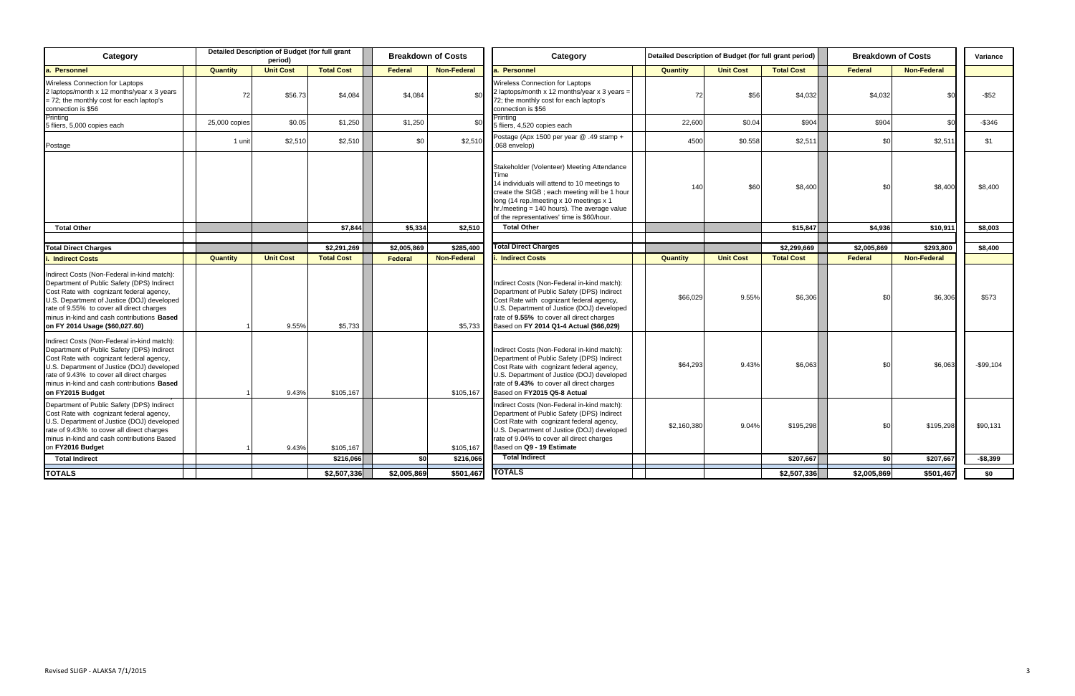| Category                                                                                                                                                                                                                                                                                                         |               | Detailed Description of Budget (for full grant<br>period) |                   |                | <b>Breakdown of Costs</b> | Category                                                                                                                                                                                                                                                                                     | Detailed Description of Budget (for full grant period) |                  |                   | <b>Breakdown of Costs</b> |                    | Variance  |
|------------------------------------------------------------------------------------------------------------------------------------------------------------------------------------------------------------------------------------------------------------------------------------------------------------------|---------------|-----------------------------------------------------------|-------------------|----------------|---------------------------|----------------------------------------------------------------------------------------------------------------------------------------------------------------------------------------------------------------------------------------------------------------------------------------------|--------------------------------------------------------|------------------|-------------------|---------------------------|--------------------|-----------|
| . Personnel                                                                                                                                                                                                                                                                                                      | Quantity      | <b>Unit Cost</b>                                          | <b>Total Cost</b> | <b>Federal</b> | <b>Non-Federal</b>        | <b>Personnel</b>                                                                                                                                                                                                                                                                             | <b>Quantity</b>                                        | <b>Unit Cost</b> | <b>Total Cost</b> | Federal                   | <b>Non-Federal</b> |           |
| Wireless Connection for Laptops<br>2 laptops/month x 12 months/year x 3 years<br>$= 72$ ; the monthly cost for each laptop's<br>connection is \$56                                                                                                                                                               | 72            | \$56.73                                                   | \$4,084           | \$4,084        | \$0                       | Wireless Connection for Laptops<br>2 laptops/month x 12 months/year x 3 years =<br>72; the monthly cost for each laptop's<br>connection is \$56                                                                                                                                              | 72                                                     | \$56             | \$4,032           | \$4,032                   | \$0                | $-$ \$52  |
| Printing<br>5 fliers, 5,000 copies each                                                                                                                                                                                                                                                                          | 25,000 copies | \$0.05                                                    | \$1,250           | \$1,250        | \$0                       | Printing<br>5 fliers, 4,520 copies each                                                                                                                                                                                                                                                      | 22,600                                                 | \$0.04           | \$904             | \$904                     | \$0                | $-$ \$346 |
| Postage                                                                                                                                                                                                                                                                                                          | 1 unit        | \$2,510                                                   | \$2,510           | \$0            | \$2,510                   | Postage (Apx 1500 per year @ .49 stamp +<br>.068 envelop)                                                                                                                                                                                                                                    | 4500                                                   | \$0.558          | \$2,511           | \$0                       | \$2,51             | \$1       |
|                                                                                                                                                                                                                                                                                                                  |               |                                                           |                   |                |                           | Stakeholder (Volenteer) Meeting Attendance<br>Time<br>14 individuals will attend to 10 meetings to<br>create the SIGB; each meeting will be 1 hour<br>long (14 rep./meeting x 10 meetings x 1<br>$hr./meeting = 140 hours$ . The average value<br>of the representatives' time is \$60/hour. | 140                                                    | \$60             | \$8,400           | \$0                       | \$8,400            | \$8,400   |
| <b>Total Other</b>                                                                                                                                                                                                                                                                                               |               |                                                           | \$7,844           | \$5,334        | \$2,510                   | <b>Total Other</b>                                                                                                                                                                                                                                                                           |                                                        |                  | \$15,847          | \$4,936                   | \$10,911           | \$8,003   |
|                                                                                                                                                                                                                                                                                                                  |               |                                                           |                   |                |                           |                                                                                                                                                                                                                                                                                              |                                                        |                  |                   |                           |                    |           |
| <b>Total Direct Charges</b>                                                                                                                                                                                                                                                                                      |               |                                                           | \$2,291,269       | \$2,005,869    | \$285,400                 | <b>Total Direct Charges</b>                                                                                                                                                                                                                                                                  |                                                        |                  | \$2,299,669       | \$2,005,869               | \$293,800          | \$8,400   |
| <b>Indirect Costs</b>                                                                                                                                                                                                                                                                                            | Quantity      | <b>Unit Cost</b>                                          | <b>Total Cost</b> | <b>Federal</b> | <b>Non-Federal</b>        | <b>Indirect Costs</b>                                                                                                                                                                                                                                                                        | <b>Quantity</b>                                        | <b>Unit Cost</b> | <b>Total Cost</b> | Federal                   | <b>Non-Federal</b> |           |
| Indirect Costs (Non-Federal in-kind match):<br>Department of Public Safety (DPS) Indirect<br>Cost Rate with cognizant federal agency,<br>U.S. Department of Justice (DOJ) developed<br>rate of 9.55% to cover all direct charges<br>minus in-kind and cash contributions Based<br>on FY 2014 Usage (\$60,027.60) |               | 9.55%                                                     | \$5,733           |                | \$5,733                   | Indirect Costs (Non-Federal in-kind match):<br>Department of Public Safety (DPS) Indirect<br>Cost Rate with cognizant federal agency,<br>U.S. Department of Justice (DOJ) developed<br>rate of 9.55% to cover all direct charges<br>Based on FY 2014 Q1-4 Actual (\$66,029)                  | \$66,029                                               | 9.55%            | \$6,306           | \$0                       | \$6,306            | \$573     |
| Indirect Costs (Non-Federal in-kind match):<br>Department of Public Safety (DPS) Indirect<br>Cost Rate with cognizant federal agency,<br>U.S. Department of Justice (DOJ) developed<br>rate of 9.43% to cover all direct charges<br>minus in-kind and cash contributions <b>Based</b><br>on FY2015 Budget        |               | 9.43%                                                     | \$105,167         |                | \$105,167                 | Indirect Costs (Non-Federal in-kind match):<br>Department of Public Safety (DPS) Indirect<br>Cost Rate with cognizant federal agency,<br>U.S. Department of Justice (DOJ) developed<br>rate of 9.43% to cover all direct charges<br>Based on FY2015 Q5-8 Actual                              | \$64,293                                               | 9.43%            | \$6,063           | \$0                       | \$6,063            | -\$99,104 |
| Department of Public Safety (DPS) Indirect<br>Cost Rate with cognizant federal agency,<br>U.S. Department of Justice (DOJ) developed<br>rate of 9.43\% to cover all direct charges<br>minus in-kind and cash contributions Based<br>on FY2016 Budget                                                             |               | 9.43%                                                     | \$105,167         |                | \$105,167                 | Indirect Costs (Non-Federal in-kind match):<br>Department of Public Safety (DPS) Indirect<br>Cost Rate with cognizant federal agency,<br>U.S. Department of Justice (DOJ) developed<br>rate of 9.04% to cover all direct charges<br>Based on Q9 - 19 Estimate                                | \$2,160,380                                            | 9.04%            | \$195,298         | \$0                       | \$195,298          | \$90,131  |
| <b>Total Indirect</b>                                                                                                                                                                                                                                                                                            |               |                                                           | \$216,066         | \$0            | \$216,066                 | <b>Total Indirect</b>                                                                                                                                                                                                                                                                        |                                                        |                  | \$207,667         | <b>\$0</b>                | \$207,667          | $-$8,399$ |
| <b>TOTALS</b>                                                                                                                                                                                                                                                                                                    |               |                                                           | \$2,507,336       | \$2,005,869    | \$501,467                 | <b>TOTALS</b>                                                                                                                                                                                                                                                                                |                                                        |                  | \$2,507,336       | \$2,005,869               | \$501,467          | \$0       |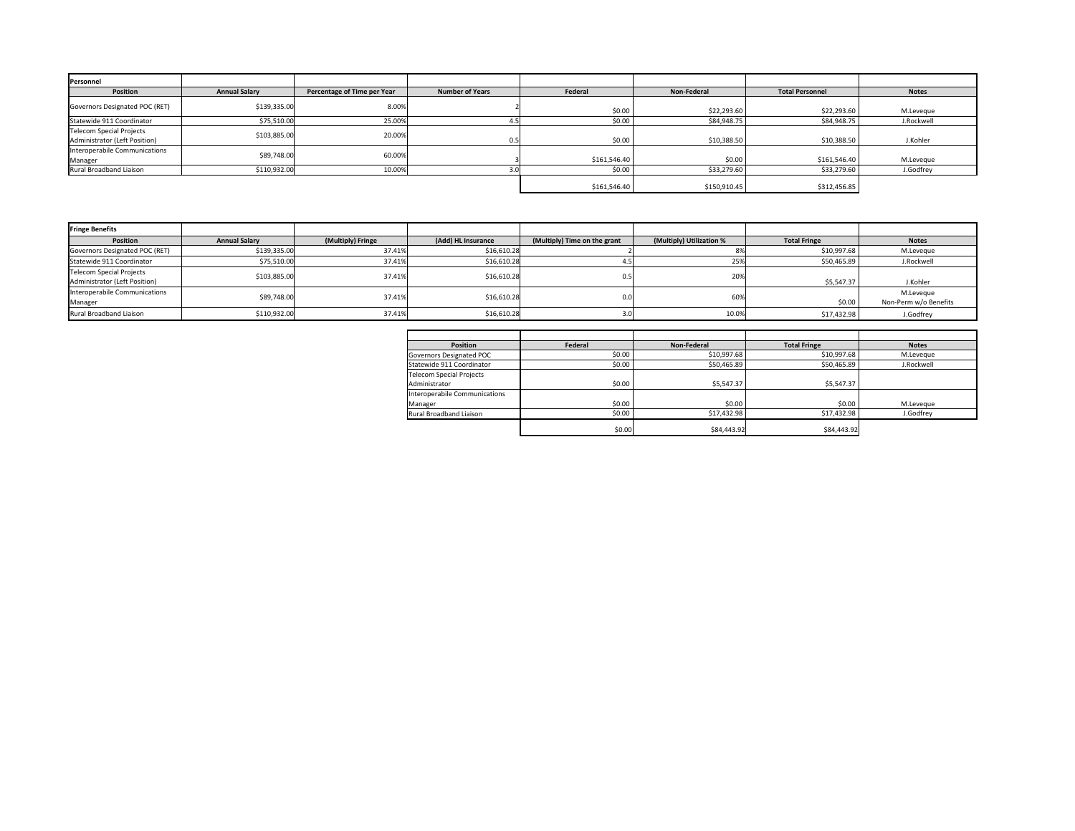| Personnel                                                 |                      |                             |                        |              |              |                        |              |
|-----------------------------------------------------------|----------------------|-----------------------------|------------------------|--------------|--------------|------------------------|--------------|
| Position                                                  | <b>Annual Salary</b> | Percentage of Time per Year | <b>Number of Years</b> | Federal      | Non-Federal  | <b>Total Personnel</b> | <b>Notes</b> |
| Governors Designated POC (RET)                            | \$139,335.00         | 8.00%                       |                        | \$0.00       | \$22,293.60  | \$22,293.60            | M.Leveque    |
| Statewide 911 Coordinator                                 | \$75,510.00          | 25.00%                      |                        | \$0.00       | \$84,948.75  | \$84,948.75            | J.Rockwell   |
| Telecom Special Projects<br>Administrator (Left Position) | \$103,885.00         | 20.00%                      | 0.5                    | \$0.00       | \$10,388.50  | \$10,388.50            | J.Kohler     |
| Interoperabile Communications<br>Manager                  | \$89,748.00          | 60.00%                      |                        | \$161,546.40 | \$0.00       | \$161,546.40           | M.Leveque    |
| Rural Broadband Liaison                                   | \$110,932.00         | 10.00%                      |                        | \$0.00       | \$33,279.60  | \$33,279.60            | J.Godfrey    |
|                                                           |                      |                             |                        | \$161,546.40 | \$150,910.45 | \$312,456.85           |              |

| <b>Fringe Benefits</b>                                           |                      |                   |                    |                              |                          |                     |                                    |
|------------------------------------------------------------------|----------------------|-------------------|--------------------|------------------------------|--------------------------|---------------------|------------------------------------|
| <b>Position</b>                                                  | <b>Annual Salary</b> | (Multiply) Fringe | (Add) HL Insurance | (Multiply) Time on the grant | (Multiply) Utilization % | <b>Total Fringe</b> | <b>Notes</b>                       |
| Governors Designated POC (RET)                                   | \$139,335.00         | 37.41%            | \$16,610.28        |                              |                          | \$10,997.68         | M.Leveque                          |
| Statewide 911 Coordinator                                        | \$75,510.00          | 37.41%            | \$16,610.28        |                              | 25%                      | \$50,465.89         | J.Rockwell                         |
| <b>Telecom Special Projects</b><br>Administrator (Left Position) | \$103,885.00         | 37.41%            | \$16,610.28        | 0.5                          | 20%                      | \$5,547.37          | J.Kohler                           |
| Interoperabile Communications<br>Manager                         | \$89,748.00          | 37.41%            | \$16,610.28        | $_{0.0}$                     | 60%                      | \$0.00              | M.Leveque<br>Non-Perm w/o Benefits |
| Rural Broadband Liaison                                          | \$110,932.00         | 37.41%            | \$16,610.28        |                              | 10.0%                    | \$17,432.98         | J.Godfrey                          |

| <b>Position</b>                 | Federal | Non-Federal | <b>Total Fringe</b> | <b>Notes</b> |
|---------------------------------|---------|-------------|---------------------|--------------|
| Governors Designated POC        | \$0.00  | \$10,997.68 | \$10,997.68         | M.Leveque    |
| Statewide 911 Coordinator       | \$0.00  | \$50,465.89 | \$50,465.89         | J.Rockwell   |
| <b>Telecom Special Projects</b> |         |             |                     |              |
| Administrator                   | \$0.00  | \$5,547.37  | \$5,547.37          |              |
| Interoperabile Communications   |         |             |                     |              |
| Manager                         | \$0.00  | \$0.00      | \$0.00              | M.Leveque    |
| Rural Broadband Liaison         | \$0.00  | \$17,432.98 | \$17,432.98         | J.Godfrey    |
|                                 | \$0.00  | \$84,443.92 | \$84,443.92         |              |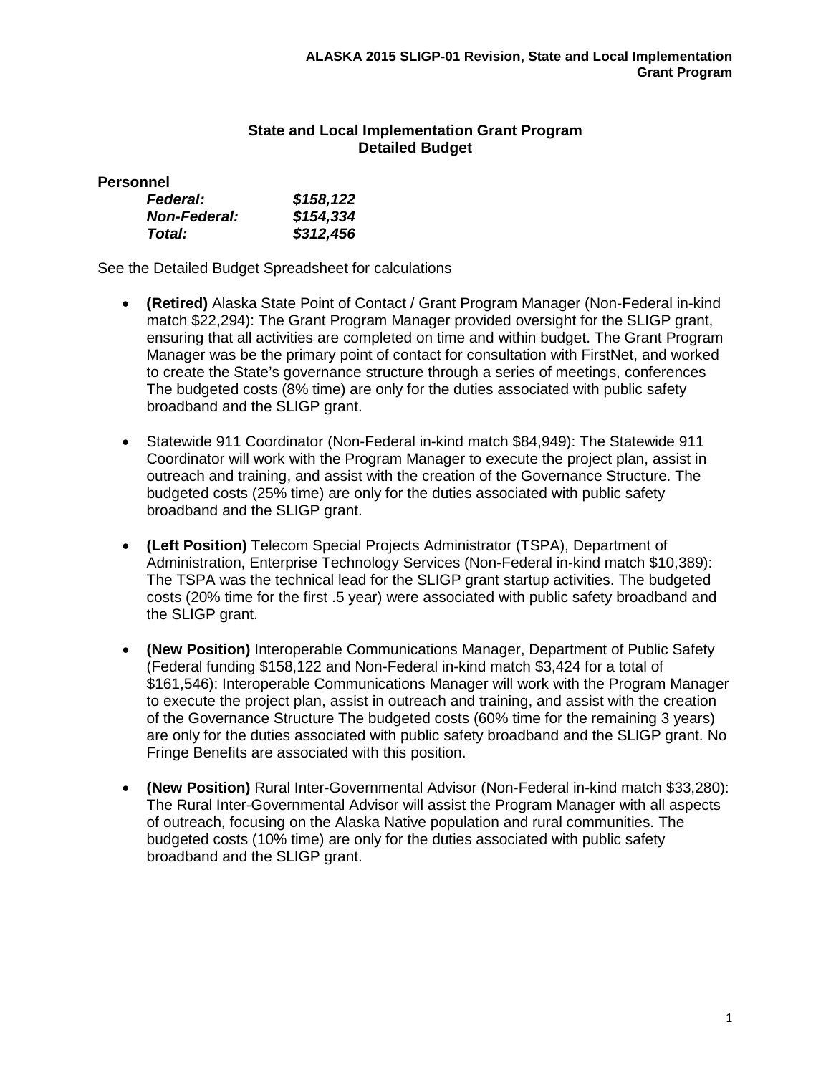# **State and Local Implementation Grant Program Detailed Budget**

**Personnel**

| <b>Federal:</b>     | \$158,122 |
|---------------------|-----------|
| <b>Non-Federal:</b> | \$154,334 |
| Total:              | \$312,456 |

See the Detailed Budget Spreadsheet for calculations

- **(Retired)** Alaska State Point of Contact / Grant Program Manager (Non-Federal in-kind match \$22,294): The Grant Program Manager provided oversight for the SLIGP grant, ensuring that all activities are completed on time and within budget. The Grant Program Manager was be the primary point of contact for consultation with FirstNet, and worked to create the State's governance structure through a series of meetings, conferences The budgeted costs (8% time) are only for the duties associated with public safety broadband and the SLIGP grant.
- Statewide 911 Coordinator (Non-Federal in-kind match \$84,949): The Statewide 911 Coordinator will work with the Program Manager to execute the project plan, assist in outreach and training, and assist with the creation of the Governance Structure. The budgeted costs (25% time) are only for the duties associated with public safety broadband and the SLIGP grant.
- **(Left Position)** Telecom Special Projects Administrator (TSPA), Department of Administration, Enterprise Technology Services (Non-Federal in-kind match \$10,389): The TSPA was the technical lead for the SLIGP grant startup activities. The budgeted costs (20% time for the first .5 year) were associated with public safety broadband and the SLIGP grant.
- **(New Position)** Interoperable Communications Manager, Department of Public Safety (Federal funding \$158,122 and Non-Federal in-kind match \$3,424 for a total of \$161,546): Interoperable Communications Manager will work with the Program Manager to execute the project plan, assist in outreach and training, and assist with the creation of the Governance Structure The budgeted costs (60% time for the remaining 3 years) are only for the duties associated with public safety broadband and the SLIGP grant. No Fringe Benefits are associated with this position.
- **(New Position)** Rural Inter-Governmental Advisor (Non-Federal in-kind match \$33,280): The Rural Inter-Governmental Advisor will assist the Program Manager with all aspects of outreach, focusing on the Alaska Native population and rural communities. The budgeted costs (10% time) are only for the duties associated with public safety broadband and the SLIGP grant.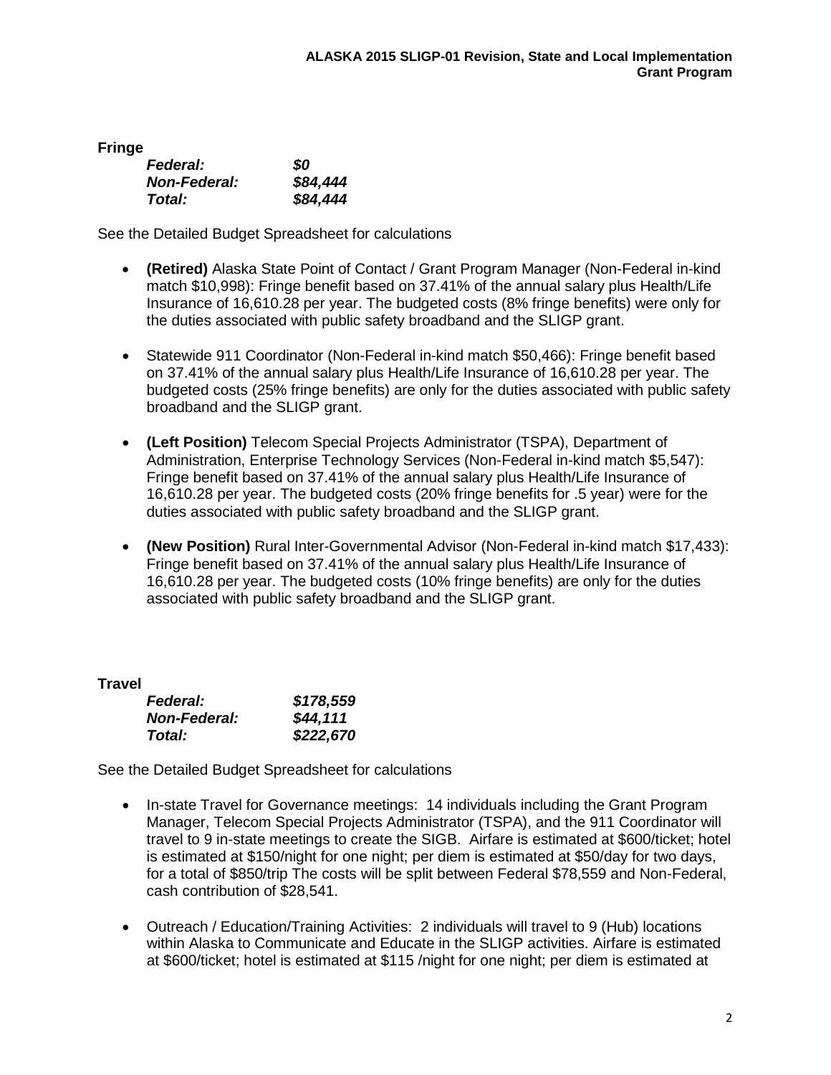**Fringe**

| <b>Federal:</b>     | SO.      |
|---------------------|----------|
| <b>Non-Federal:</b> | \$84,444 |
| <b>Total:</b>       | \$84,444 |

See the Detailed Budget Spreadsheet for calculations

- **(Retired)** Alaska State Point of Contact / Grant Program Manager (Non-Federal in-kind match \$10,998): Fringe benefit based on 37.41% of the annual salary plus Health/Life Insurance of 16,610.28 per year. The budgeted costs (8% fringe benefits) were only for the duties associated with public safety broadband and the SLIGP grant.
- Statewide 911 Coordinator (Non-Federal in-kind match \$50,466): Fringe benefit based on 37.41% of the annual salary plus Health/Life Insurance of 16,610.28 per year. The budgeted costs (25% fringe benefits) are only for the duties associated with public safety broadband and the SLIGP grant.
- **(Left Position)** Telecom Special Projects Administrator (TSPA), Department of Administration, Enterprise Technology Services (Non-Federal in-kind match \$5,547): Fringe benefit based on 37.41% of the annual salary plus Health/Life Insurance of 16,610.28 per year. The budgeted costs (20% fringe benefits for .5 year) were for the duties associated with public safety broadband and the SLIGP grant.
- **(New Position)** Rural Inter-Governmental Advisor (Non-Federal in-kind match \$17,433): Fringe benefit based on 37.41% of the annual salary plus Health/Life Insurance of 16,610.28 per year. The budgeted costs (10% fringe benefits) are only for the duties associated with public safety broadband and the SLIGP grant.

**Travel**

| <b>Federal:</b>     | \$178,559 |
|---------------------|-----------|
| <b>Non-Federal:</b> | \$44,111  |
| Total:              | \$222,670 |

See the Detailed Budget Spreadsheet for calculations

- In-state Travel for Governance meetings: 14 individuals including the Grant Program Manager, Telecom Special Projects Administrator (TSPA), and the 911 Coordinator will travel to 9 in-state meetings to create the SIGB. Airfare is estimated at \$600/ticket; hotel is estimated at \$150/night for one night; per diem is estimated at \$50/day for two days, for a total of \$850/trip The costs will be split between Federal \$78,559 and Non-Federal, cash contribution of \$28,541.
- Outreach / Education/Training Activities: 2 individuals will travel to 9 (Hub) locations within Alaska to Communicate and Educate in the SLIGP activities. Airfare is estimated at \$600/ticket; hotel is estimated at \$115 /night for one night; per diem is estimated at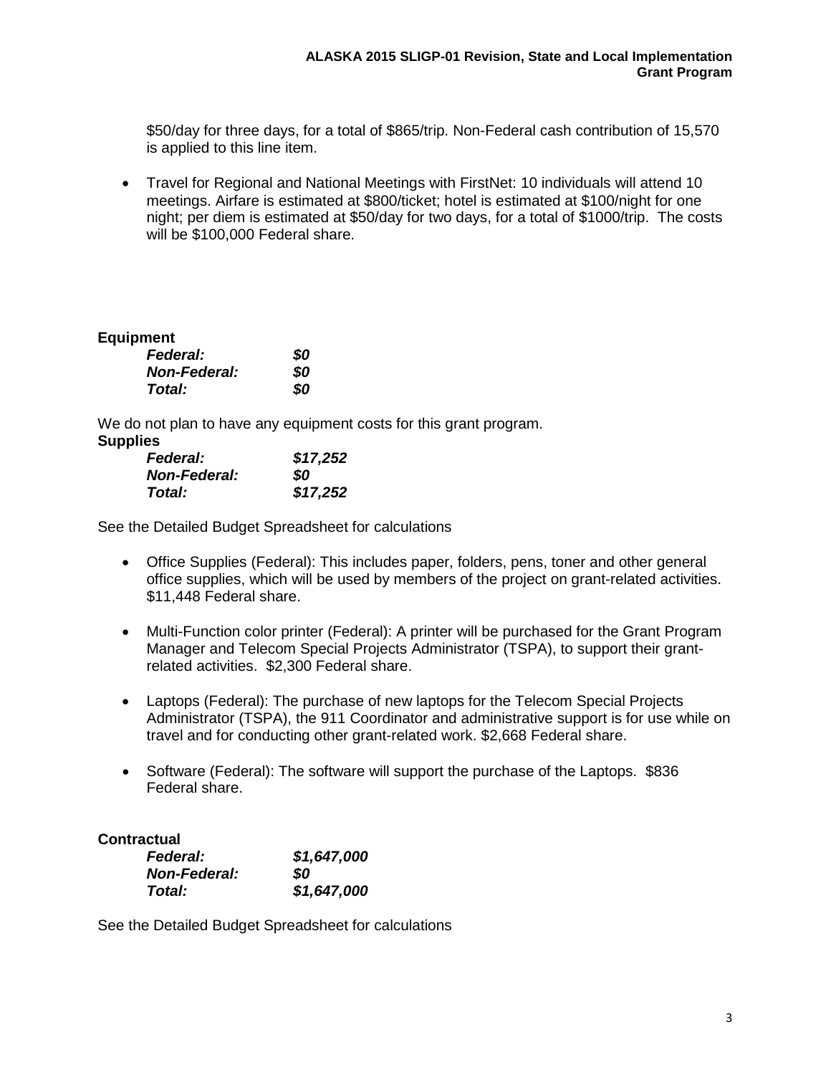\$50/day for three days, for a total of \$865/trip. Non-Federal cash contribution of 15,570 is applied to this line item.

• Travel for Regional and National Meetings with FirstNet: 10 individuals will attend 10 meetings. Airfare is estimated at \$800/ticket; hotel is estimated at \$100/night for one night; per diem is estimated at \$50/day for two days, for a total of \$1000/trip. The costs will be \$100,000 Federal share.

# **Equipment**

| Federal:            | 80  |
|---------------------|-----|
| <b>Non-Federal:</b> | 80  |
| Total:              | SO. |

We do not plan to have any equipment costs for this grant program. **Supplies**

| <b>Federal:</b>     | \$17,252 |
|---------------------|----------|
| <b>Non-Federal:</b> | SO       |
| Total:              | \$17,252 |

See the Detailed Budget Spreadsheet for calculations

- Office Supplies (Federal): This includes paper, folders, pens, toner and other general office supplies, which will be used by members of the project on grant-related activities. \$11,448 Federal share.
- Multi-Function color printer (Federal): A printer will be purchased for the Grant Program Manager and Telecom Special Projects Administrator (TSPA), to support their grantrelated activities. \$2,300 Federal share.
- Laptops (Federal): The purchase of new laptops for the Telecom Special Projects Administrator (TSPA), the 911 Coordinator and administrative support is for use while on travel and for conducting other grant-related work. \$2,668 Federal share.
- Software (Federal): The software will support the purchase of the Laptops. \$836 Federal share.

# **Contractual**

| <b>Federal:</b>     | \$1,647,000 |
|---------------------|-------------|
| <b>Non-Federal:</b> | SO          |
| Total:              | \$1,647,000 |

See the Detailed Budget Spreadsheet for calculations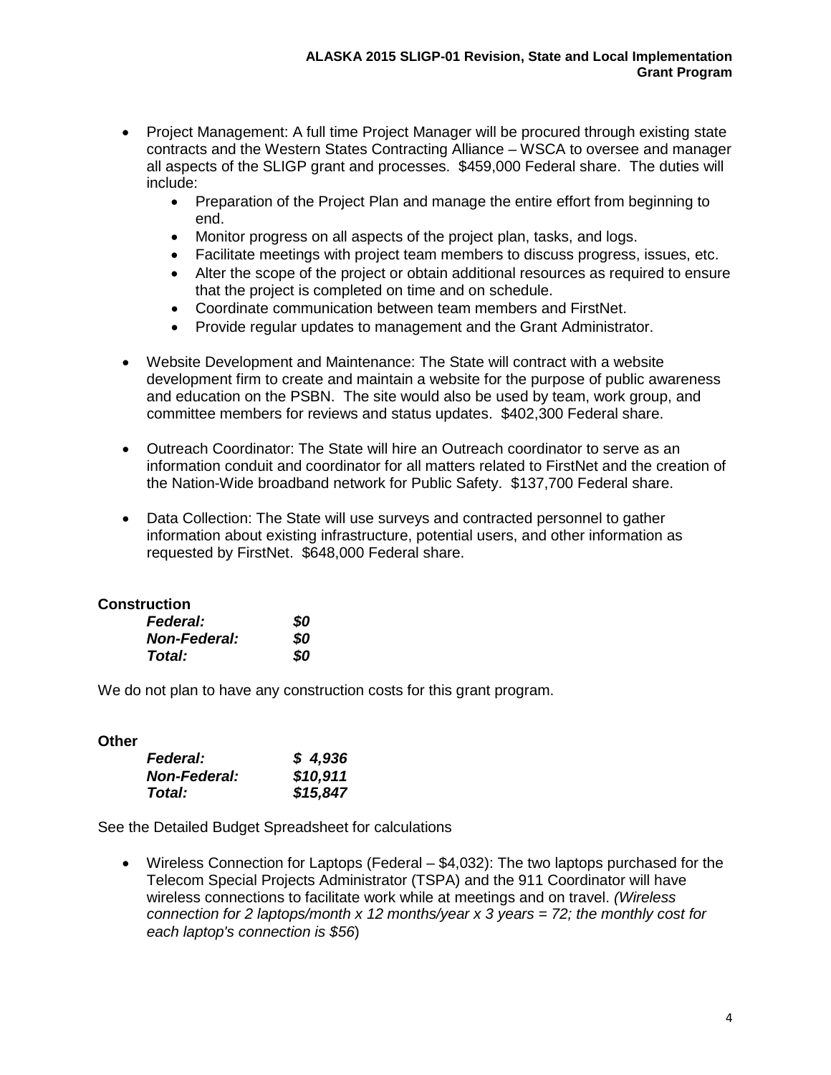- Project Management: A full time Project Manager will be procured through existing state contracts and the Western States Contracting Alliance – WSCA to oversee and manager all aspects of the SLIGP grant and processes. \$459,000 Federal share. The duties will include:
	- Preparation of the Project Plan and manage the entire effort from beginning to end.
	- Monitor progress on all aspects of the project plan, tasks, and logs.
	- Facilitate meetings with project team members to discuss progress, issues, etc.
	- Alter the scope of the project or obtain additional resources as required to ensure that the project is completed on time and on schedule.
	- Coordinate communication between team members and FirstNet.
	- Provide regular updates to management and the Grant Administrator.
- Website Development and Maintenance: The State will contract with a website development firm to create and maintain a website for the purpose of public awareness and education on the PSBN. The site would also be used by team, work group, and committee members for reviews and status updates. \$402,300 Federal share.
- Outreach Coordinator: The State will hire an Outreach coordinator to serve as an information conduit and coordinator for all matters related to FirstNet and the creation of the Nation-Wide broadband network for Public Safety. \$137,700 Federal share.
- Data Collection: The State will use surveys and contracted personnel to gather information about existing infrastructure, potential users, and other information as requested by FirstNet. \$648,000 Federal share.

### **Construction**

| <b>Federal:</b>     | 80  |
|---------------------|-----|
| <b>Non-Federal:</b> | 80  |
| <b>Total:</b>       | SO. |

We do not plan to have any construction costs for this grant program.

### **Other**

| <b>Federal:</b>     | \$4,936  |
|---------------------|----------|
| <b>Non-Federal:</b> | \$10,911 |
| Total:              | \$15,847 |

See the Detailed Budget Spreadsheet for calculations

• Wireless Connection for Laptops (Federal – \$4,032): The two laptops purchased for the Telecom Special Projects Administrator (TSPA) and the 911 Coordinator will have wireless connections to facilitate work while at meetings and on travel. *(Wireless connection for 2 laptops/month x 12 months/year x 3 years = 72; the monthly cost for each laptop's connection is \$56*)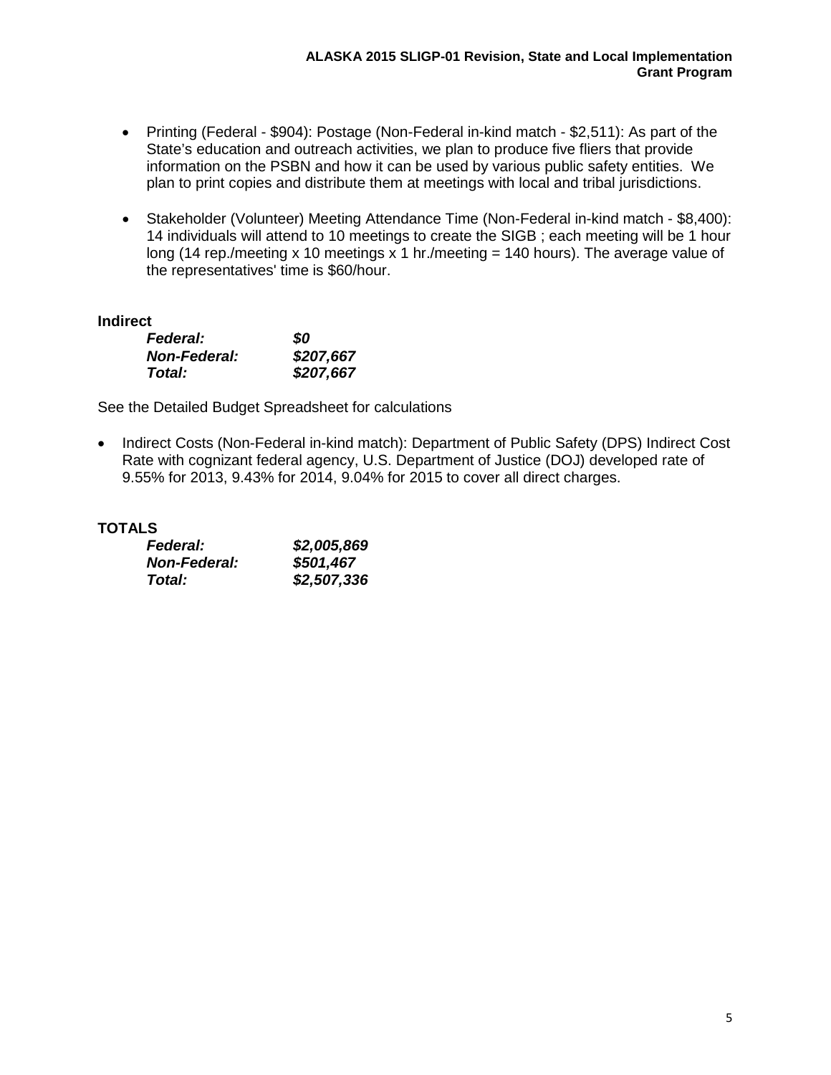- Printing (Federal \$904): Postage (Non-Federal in-kind match \$2,511): As part of the State's education and outreach activities, we plan to produce five fliers that provide information on the PSBN and how it can be used by various public safety entities. We plan to print copies and distribute them at meetings with local and tribal jurisdictions.
- Stakeholder (Volunteer) Meeting Attendance Time (Non-Federal in-kind match \$8,400): 14 individuals will attend to 10 meetings to create the SIGB ; each meeting will be 1 hour long (14 rep./meeting x 10 meetings x 1 hr./meeting = 140 hours). The average value of the representatives' time is \$60/hour.

### **Indirect**

| <b>Federal:</b>     | 80        |
|---------------------|-----------|
| <b>Non-Federal:</b> | \$207,667 |
| Total:              | \$207,667 |

See the Detailed Budget Spreadsheet for calculations

• Indirect Costs (Non-Federal in-kind match): Department of Public Safety (DPS) Indirect Cost Rate with cognizant federal agency, U.S. Department of Justice (DOJ) developed rate of 9.55% for 2013, 9.43% for 2014, 9.04% for 2015 to cover all direct charges.

# **TOTALS**

| <b>Federal:</b>     | \$2,005,869 |
|---------------------|-------------|
| <b>Non-Federal:</b> | \$501,467   |
| Total:              | \$2,507,336 |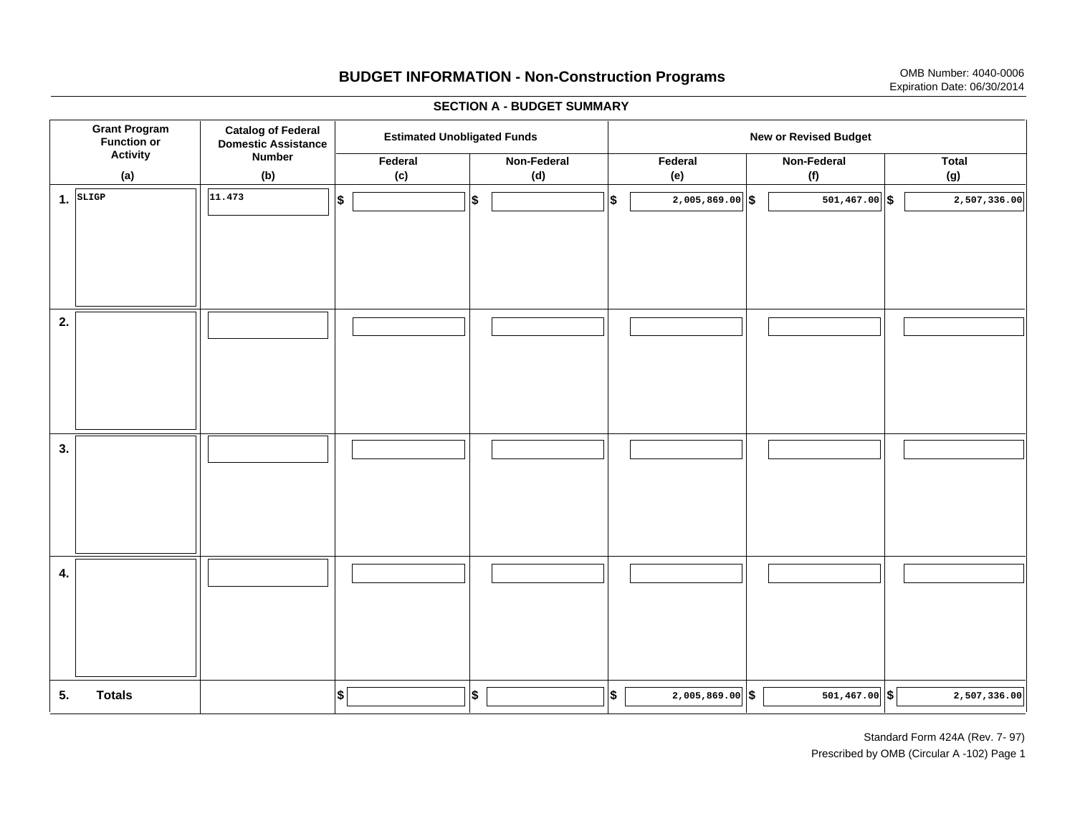# **BUDGET INFORMATION - Non-Construction Programs** OMB Number: 4040-0006 Expiration Date: 06/30/2014

**\$ Grant Program Function or Activity (a) Catalog of Federal Domestic Assistance Number (b) Estimated Unobligated Funds New or Revised Budget Federal (c) Non-Federal(d) Federal(e) Non-Federal (f) Total(g) 5. Totals4. 3. 2. 1.SLIGP**. SLIGP | | <sup>|11.473</sup> | |\$ | |\$ | |\$ | 2,005,869.00||\$ | 501,467.00||\$ **\$ \$ \$ \$ \$ 2,005,869.00 501,467.00 2,507,336.00 11.4732,005,869.00 5 501,467.00 5 2,507,336.00** 

#### **SECTION A - BUDGET SUMMARY**

Standard Form 424A (Rev. 7- 97) Prescribed by OMB (Circular A -102) Page 1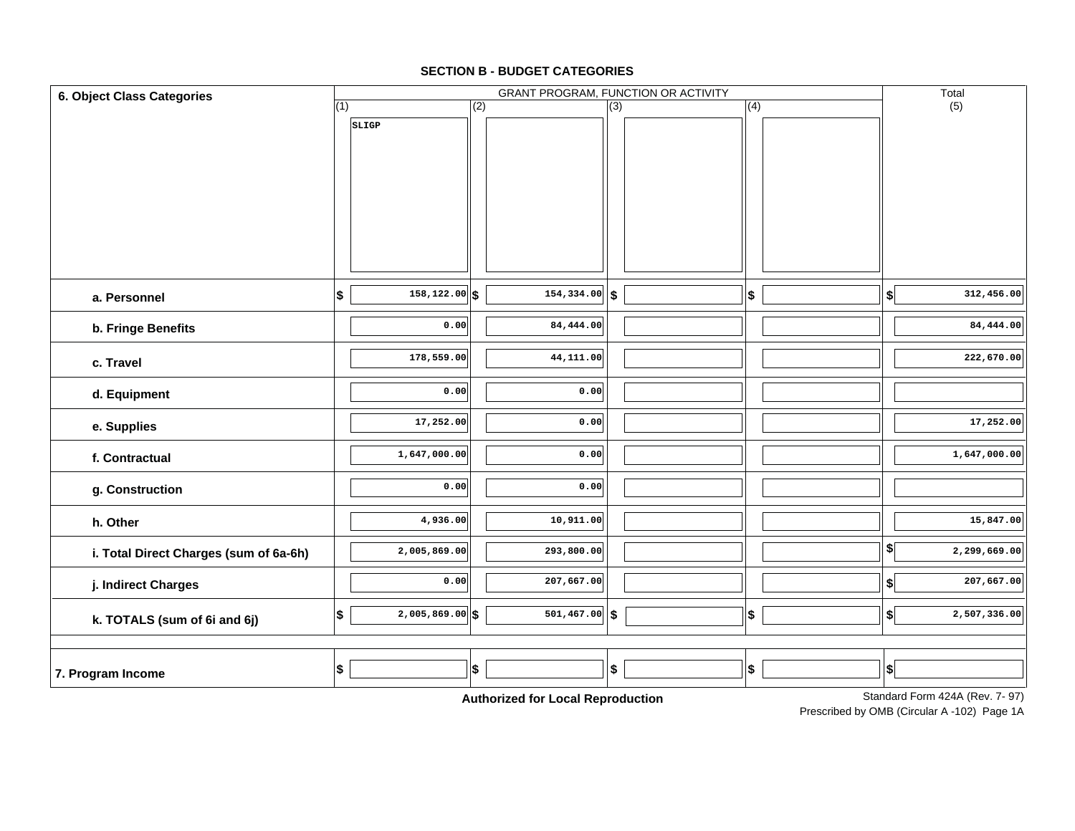### **SECTION B - BUDGET CATEGORIES**

| 6. Object Class Categories             |                          |                   |          |                                    |                  | GRANT PROGRAM, FUNCTION OR ACTIVITY |     | Total                         |                                 |
|----------------------------------------|--------------------------|-------------------|----------|------------------------------------|------------------|-------------------------------------|-----|-------------------------------|---------------------------------|
|                                        | (1)                      |                   | (2)      |                                    | $\overline{(3)}$ |                                     | (4) |                               | (5)                             |
|                                        |                          | SLIGP             |          |                                    |                  |                                     |     |                               |                                 |
|                                        |                          |                   |          |                                    |                  |                                     |     |                               |                                 |
|                                        |                          |                   |          |                                    |                  |                                     |     |                               |                                 |
|                                        |                          |                   |          |                                    |                  |                                     |     |                               |                                 |
|                                        |                          |                   |          |                                    |                  |                                     |     |                               |                                 |
|                                        |                          |                   |          |                                    |                  |                                     |     |                               |                                 |
|                                        |                          |                   |          |                                    |                  |                                     |     |                               |                                 |
|                                        |                          |                   |          |                                    |                  |                                     |     |                               |                                 |
|                                        |                          |                   |          |                                    |                  |                                     |     |                               |                                 |
| a. Personnel                           | $\vert \mathsf{s} \vert$ | $158, 122.00$ \$  |          | $\overline{154,334.00}$ \$         |                  |                                     | \$  | \$                            | 312,456.00                      |
| b. Fringe Benefits                     |                          | 0.00              |          | 84,444.00                          |                  |                                     |     |                               | 84,444.00                       |
|                                        |                          |                   |          |                                    |                  |                                     |     |                               |                                 |
| c. Travel                              |                          | 178,559.00        |          | 44,111.00                          |                  |                                     |     |                               | 222,670.00                      |
|                                        |                          | 0.00              |          | 0.00                               |                  |                                     |     |                               |                                 |
| d. Equipment                           |                          |                   |          |                                    |                  |                                     |     |                               |                                 |
| e. Supplies                            |                          | 17,252.00         |          | 0.00                               |                  |                                     |     |                               | 17,252.00                       |
| f. Contractual                         |                          | 1,647,000.00      |          | 0.00                               |                  |                                     |     |                               | 1,647,000.00                    |
|                                        |                          |                   |          |                                    |                  |                                     |     |                               |                                 |
| g. Construction                        |                          | 0.00              |          | 0.00                               |                  |                                     |     |                               |                                 |
| h. Other                               |                          | 4,936.00          |          | 10,911.00                          |                  |                                     |     |                               | 15,847.00                       |
|                                        |                          |                   |          |                                    |                  |                                     |     |                               |                                 |
| i. Total Direct Charges (sum of 6a-6h) |                          | 2,005,869.00      |          | 293,800.00                         |                  |                                     |     | \$                            | 2,299,669.00                    |
| j. Indirect Charges                    |                          | 0.00              |          | 207,667.00                         |                  |                                     |     | $\boldsymbol{\$}$             | 207,667.00                      |
|                                        |                          |                   |          |                                    |                  |                                     |     |                               |                                 |
| k. TOTALS (sum of 6i and 6j)           | $\vert \mathsf{s} \vert$ | $2,005,869.00$ \$ |          | $501, 467.00$ \$                   |                  |                                     | \$  | $\left  \right\rangle$        | 2,507,336.00                    |
|                                        |                          |                   |          |                                    |                  |                                     |     |                               |                                 |
|                                        | \$                       |                   |          |                                    | \$               |                                     |     |                               |                                 |
| 7. Program Income                      |                          |                   | \$       |                                    |                  |                                     | \$  | $\vert \boldsymbol{\$} \vert$ |                                 |
|                                        |                          |                   | $A = 11$ | والمستواة المستوات<br>$\mathbf{r}$ |                  |                                     |     |                               | Standard Form 424A (Rev. 7, 97) |

**Authorized for Local Reproduction**

Standard Form 424A (Rev. 7- 97)

Prescribed by OMB (Circular A -102) Page 1A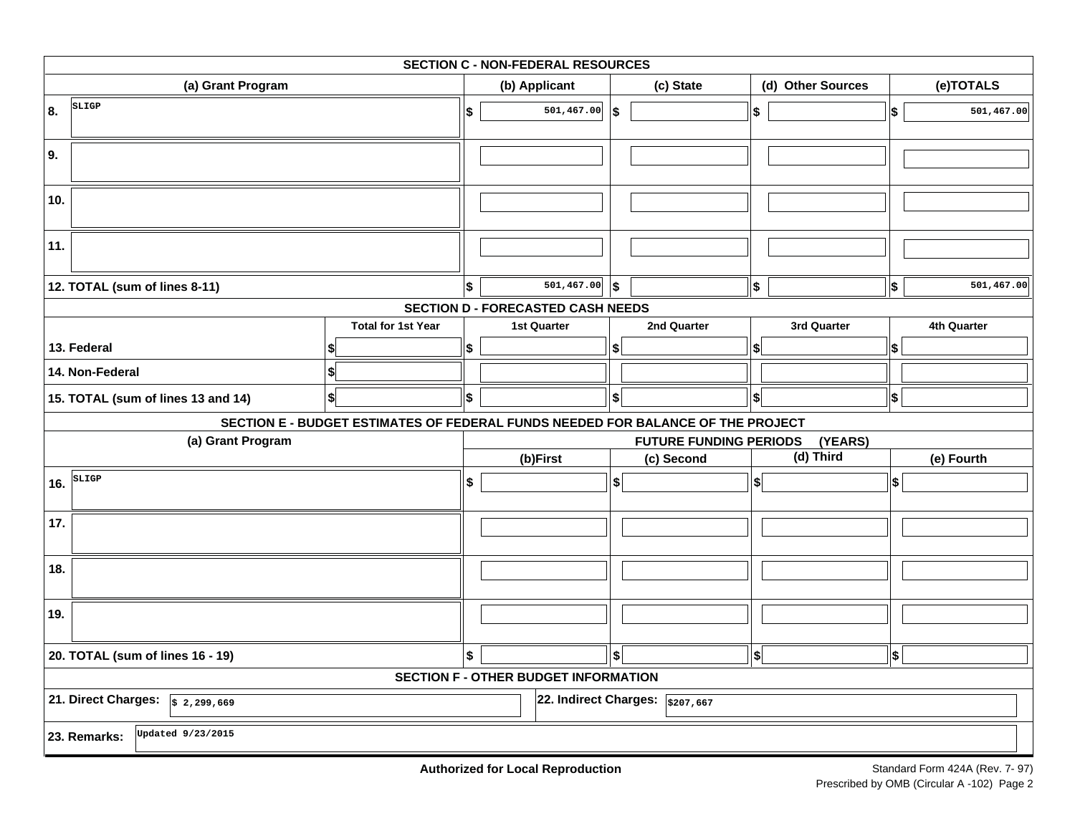| <b>SECTION C - NON-FEDERAL RESOURCES</b>   |                                                                                 |    |                                             |                   |                                         |                     |                   |           |             |  |  |
|--------------------------------------------|---------------------------------------------------------------------------------|----|---------------------------------------------|-------------------|-----------------------------------------|---------------------|-------------------|-----------|-------------|--|--|
| (a) Grant Program                          |                                                                                 |    | (b) Applicant                               |                   | (c) State                               |                     | (d) Other Sources | (e)TOTALS |             |  |  |
| SLIGP<br>8.                                |                                                                                 | \$ | 501,467.00                                  | \$                |                                         | $\boldsymbol{\$}$   |                   | \$        | 501,467.00  |  |  |
| 9.                                         |                                                                                 |    |                                             |                   |                                         |                     |                   |           |             |  |  |
| 10.                                        |                                                                                 |    |                                             |                   |                                         |                     |                   |           |             |  |  |
| 11.                                        |                                                                                 |    |                                             |                   |                                         |                     |                   |           |             |  |  |
| 12. TOTAL (sum of lines 8-11)              |                                                                                 | \$ | 501, 467.00                                 | ∣\$               |                                         | $\boldsymbol{\$}$   |                   | \$        | 501,467.00  |  |  |
|                                            |                                                                                 |    | <b>SECTION D - FORECASTED CASH NEEDS</b>    |                   |                                         |                     |                   |           |             |  |  |
|                                            | <b>Total for 1st Year</b>                                                       |    | <b>1st Quarter</b>                          |                   | 2nd Quarter                             |                     | 3rd Quarter       |           | 4th Quarter |  |  |
| 13. Federal                                |                                                                                 | \$ |                                             | S                 |                                         | S                   |                   | \$        |             |  |  |
| 14. Non-Federal                            | \$                                                                              |    |                                             |                   |                                         |                     |                   |           |             |  |  |
| 15. TOTAL (sum of lines 13 and 14)         | \$                                                                              | \$ |                                             | \$                |                                         | $ \boldsymbol{\$} $ |                   | \$        |             |  |  |
|                                            | SECTION E - BUDGET ESTIMATES OF FEDERAL FUNDS NEEDED FOR BALANCE OF THE PROJECT |    |                                             |                   |                                         |                     |                   |           |             |  |  |
| (a) Grant Program                          |                                                                                 |    |                                             |                   | <b>FUTURE FUNDING PERIODS</b>           |                     | (YEARS)           |           |             |  |  |
|                                            |                                                                                 |    | (b)First                                    |                   | (c) Second                              |                     | (d) Third         |           | (e) Fourth  |  |  |
| SLIGP<br>16.                               |                                                                                 | \$ |                                             | \$                |                                         | \$                  |                   | \$        |             |  |  |
| 17.                                        |                                                                                 |    |                                             |                   |                                         |                     |                   |           |             |  |  |
| 18.                                        |                                                                                 |    |                                             |                   |                                         |                     |                   |           |             |  |  |
| 19.                                        |                                                                                 |    |                                             |                   |                                         |                     |                   |           |             |  |  |
| 20. TOTAL (sum of lines 16 - 19)           |                                                                                 | \$ |                                             | $\boldsymbol{\$}$ |                                         | \$                  |                   | \$        |             |  |  |
|                                            |                                                                                 |    | <b>SECTION F - OTHER BUDGET INFORMATION</b> |                   |                                         |                     |                   |           |             |  |  |
| 21. Direct Charges: $\sqrt{s}$ 2, 299, 669 |                                                                                 |    |                                             |                   | 22. Indirect Charges: $\sqrt{$207,667}$ |                     |                   |           |             |  |  |
| Updated 9/23/2015<br>23. Remarks:          |                                                                                 |    |                                             |                   |                                         |                     |                   |           |             |  |  |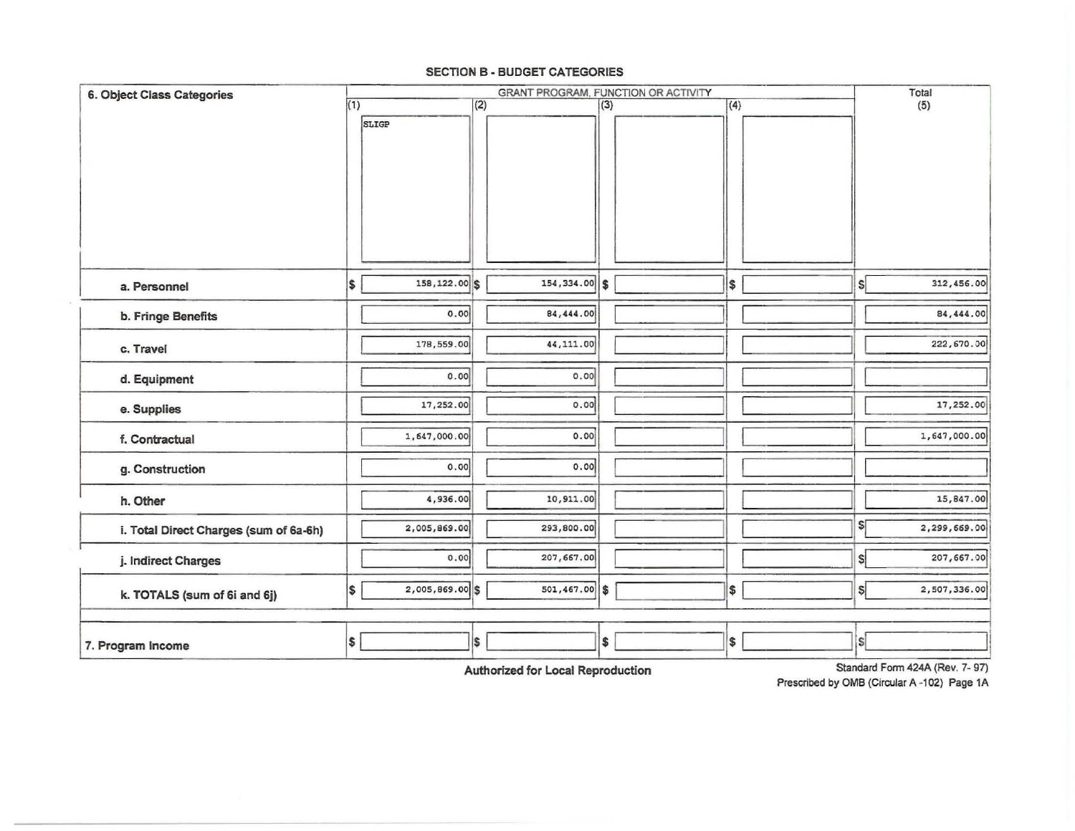#### **SECTION B - BUDGET CATEGORIES**

| <b>6. Object Class Categories</b>      |     |                 |     | GRANT PROGRAM, FUNCTION OR ACTIVITY |     |     |     |              | Total        |
|----------------------------------------|-----|-----------------|-----|-------------------------------------|-----|-----|-----|--------------|--------------|
|                                        | (1) | SLIGP           | (2) |                                     | (3) |     | (4) |              | (5)          |
| a. Personnel                           | \$  | 158, 122.00 \$  |     | 154,334.00                          | s   | I\$ |     | $\mathsf{s}$ | 312,456.00   |
| b. Fringe Benefits                     |     | 0.00            |     | 84,444.00                           |     |     |     |              | 84,444.00    |
| c. Travel                              |     | 178,559.00      |     | 44,111.00                           |     |     |     |              | 222,670.00   |
| d. Equipment                           |     | 0.00            |     | 0.00                                |     |     |     |              |              |
| e. Supplies                            |     | 17,252.00       |     | 0.00                                |     |     |     |              | 17,252.00    |
| f. Contractual                         |     | 1,647,000.00    |     | 0.00                                |     |     |     |              | 1,647,000.00 |
| g. Construction                        |     | 0.00            |     | 0.00                                |     |     |     |              |              |
| h. Other                               |     | 4,936.00        |     | 10,911.00                           |     |     |     |              | 15,847.00    |
| i. Total Direct Charges (sum of 6a-6h) |     | 2,005,869.00    |     | 293,800.00                          |     |     |     | \$[          | 2,299,669.00 |
| j. Indirect Charges                    |     | 0.00            |     | 207,667.00                          |     |     |     | \$İ          | 207,667.00   |
| k. TOTALS (sum of 6i and 6j)           | \$  | 2,005,869.00 \$ |     | $501,467.00$ \$                     |     | \$  |     | $\mathsf{s}$ | 2,507,336.00 |
| 7. Program Income                      | \$  |                 | \$  |                                     | \$  | \$  |     | s            |              |

**Authorized for Local Reproduction** 

Standard Fonn 424A (Rev. 7- 97) Prescribed by OMB (Circular A -102) Page 1A